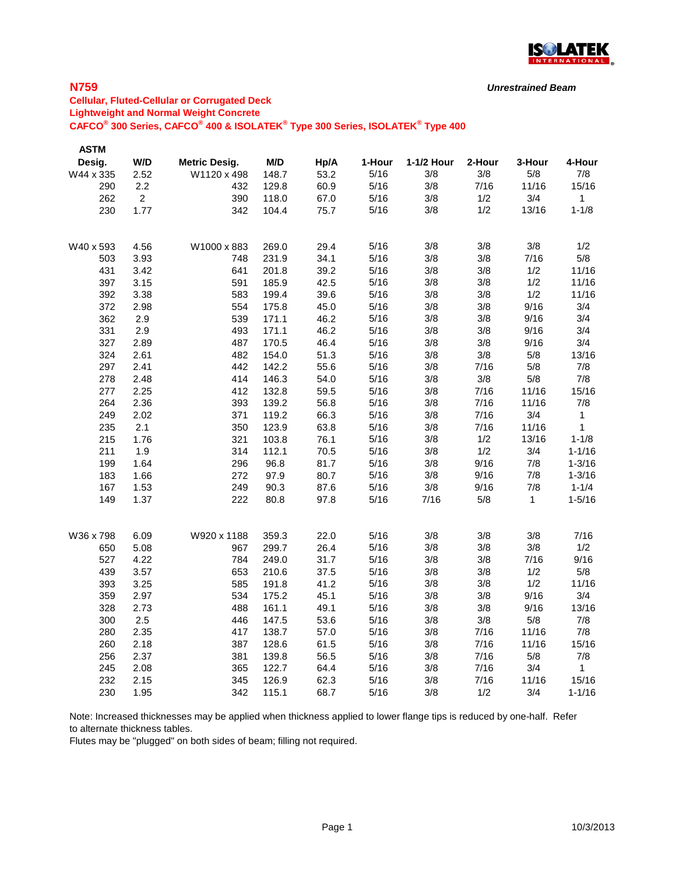

# **N759**

# **Cellular, Fluted-Cellular or Corrugated Deck Lightweight and Normal Weight Concrete CAFCO® 300 Series, CAFCO® 400 & ISOLATEK® Type 300 Series, ISOLATEK® Type 400**

| <b>ASTM</b> |                |                      |       |      |        |            |        |              |              |
|-------------|----------------|----------------------|-------|------|--------|------------|--------|--------------|--------------|
| Desig.      | W/D            | <b>Metric Desig.</b> | M/D   | Hp/A | 1-Hour | 1-1/2 Hour | 2-Hour | 3-Hour       | 4-Hour       |
| W44 x 335   | 2.52           | W1120 x 498          | 148.7 | 53.2 | 5/16   | 3/8        | 3/8    | 5/8          | 7/8          |
| 290         | 2.2            | 432                  | 129.8 | 60.9 | 5/16   | 3/8        | 7/16   | 11/16        | 15/16        |
| 262         | $\overline{2}$ | 390                  | 118.0 | 67.0 | 5/16   | 3/8        | 1/2    | 3/4          | $\mathbf{1}$ |
| 230         | 1.77           | 342                  | 104.4 | 75.7 | 5/16   | 3/8        | 1/2    | 13/16        | $1 - 1/8$    |
|             |                |                      |       |      |        |            |        |              |              |
| W40 x 593   | 4.56           | W1000 x 883          | 269.0 | 29.4 | 5/16   | 3/8        | 3/8    | 3/8          | 1/2          |
| 503         | 3.93           | 748                  | 231.9 | 34.1 | 5/16   | 3/8        | 3/8    | 7/16         | 5/8          |
| 431         | 3.42           | 641                  | 201.8 | 39.2 | 5/16   | 3/8        | 3/8    | 1/2          | 11/16        |
| 397         | 3.15           | 591                  | 185.9 | 42.5 | 5/16   | 3/8        | 3/8    | 1/2          | 11/16        |
| 392         | 3.38           | 583                  | 199.4 | 39.6 | 5/16   | 3/8        | 3/8    | 1/2          | 11/16        |
| 372         | 2.98           | 554                  | 175.8 | 45.0 | 5/16   | 3/8        | 3/8    | 9/16         | 3/4          |
| 362         | 2.9            | 539                  | 171.1 | 46.2 | 5/16   | 3/8        | 3/8    | 9/16         | 3/4          |
| 331         | 2.9            | 493                  | 171.1 | 46.2 | 5/16   | 3/8        | 3/8    | 9/16         | 3/4          |
| 327         | 2.89           | 487                  | 170.5 | 46.4 | 5/16   | 3/8        | 3/8    | 9/16         | 3/4          |
| 324         | 2.61           | 482                  | 154.0 | 51.3 | 5/16   | 3/8        | 3/8    | 5/8          | 13/16        |
| 297         | 2.41           | 442                  | 142.2 | 55.6 | 5/16   | 3/8        | 7/16   | 5/8          | 7/8          |
| 278         | 2.48           | 414                  | 146.3 | 54.0 | 5/16   | 3/8        | 3/8    | 5/8          | 7/8          |
| 277         | 2.25           | 412                  | 132.8 | 59.5 | 5/16   | 3/8        | 7/16   | 11/16        | 15/16        |
| 264         | 2.36           | 393                  | 139.2 | 56.8 | 5/16   | 3/8        | 7/16   | 11/16        | 7/8          |
| 249         | 2.02           | 371                  | 119.2 | 66.3 | 5/16   | 3/8        | 7/16   | 3/4          | 1            |
| 235         | 2.1            | 350                  | 123.9 | 63.8 | 5/16   | 3/8        | 7/16   | 11/16        | 1            |
| 215         | 1.76           | 321                  | 103.8 | 76.1 | 5/16   | 3/8        | 1/2    | 13/16        | $1 - 1/8$    |
| 211         | 1.9            | 314                  | 112.1 | 70.5 | 5/16   | 3/8        | 1/2    | 3/4          | $1 - 1/16$   |
| 199         | 1.64           | 296                  | 96.8  | 81.7 | 5/16   | 3/8        | 9/16   | 7/8          | $1 - 3/16$   |
| 183         | 1.66           | 272                  | 97.9  | 80.7 | 5/16   | 3/8        | 9/16   | 7/8          | $1 - 3/16$   |
| 167         | 1.53           | 249                  | 90.3  | 87.6 | 5/16   | 3/8        | 9/16   | 7/8          | $1 - 1/4$    |
| 149         | 1.37           | 222                  | 80.8  | 97.8 | 5/16   | 7/16       | 5/8    | $\mathbf{1}$ | $1 - 5/16$   |
|             |                |                      |       |      |        |            |        |              |              |
| W36 x 798   | 6.09           | W920 x 1188          | 359.3 | 22.0 | 5/16   | 3/8        | 3/8    | 3/8          | 7/16         |
| 650         | 5.08           | 967                  | 299.7 | 26.4 | 5/16   | 3/8        | 3/8    | 3/8          | 1/2          |
| 527         | 4.22           | 784                  | 249.0 | 31.7 | 5/16   | 3/8        | 3/8    | 7/16         | 9/16         |
| 439         | 3.57           | 653                  | 210.6 | 37.5 | 5/16   | 3/8        | 3/8    | 1/2          | 5/8          |
| 393         | 3.25           | 585                  | 191.8 | 41.2 | 5/16   | 3/8        | 3/8    | 1/2          | 11/16        |
| 359         | 2.97           | 534                  | 175.2 | 45.1 | 5/16   | 3/8        | 3/8    | 9/16         | 3/4          |
| 328         | 2.73           | 488                  | 161.1 | 49.1 | 5/16   | 3/8        | 3/8    | 9/16         | 13/16        |
| 300         | 2.5            | 446                  | 147.5 | 53.6 | 5/16   | 3/8        | 3/8    | 5/8          | 7/8          |
| 280         | 2.35           | 417                  | 138.7 | 57.0 | 5/16   | 3/8        | 7/16   | 11/16        | 7/8          |
| 260         | 2.18           | 387                  | 128.6 | 61.5 | 5/16   | 3/8        | 7/16   | 11/16        | 15/16        |
| 256         | 2.37           | 381                  | 139.8 | 56.5 | 5/16   | 3/8        | 7/16   | 5/8          | 7/8          |
| 245         | 2.08           | 365                  | 122.7 | 64.4 | 5/16   | 3/8        | 7/16   | 3/4          | 1            |
| 232         | 2.15           | 345                  | 126.9 | 62.3 | 5/16   | 3/8        | 7/16   | 11/16        | 15/16        |
| 230         | 1.95           | 342                  | 115.1 | 68.7 | 5/16   | 3/8        | 1/2    | 3/4          | $1 - 1/16$   |

Note: Increased thicknesses may be applied when thickness applied to lower flange tips is reduced by one-half. Refer to alternate thickness tables.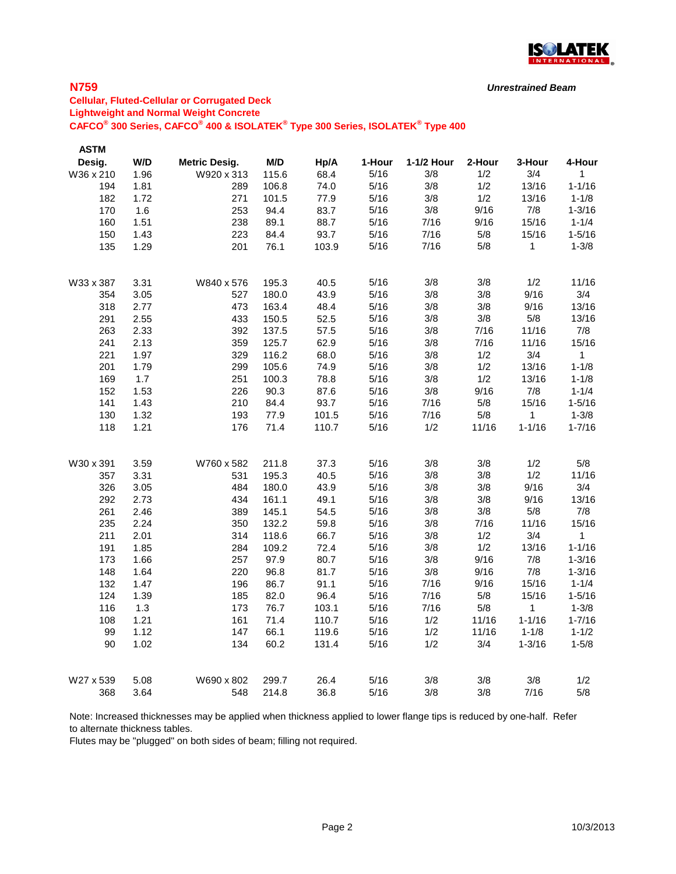

## **N759**

# **Cellular, Fluted-Cellular or Corrugated Deck Lightweight and Normal Weight Concrete CAFCO® 300 Series, CAFCO® 400 & ISOLATEK® Type 300 Series, ISOLATEK® Type 400**

| <b>ASTM</b> |      |                      |       |       |        |            |        |             |              |
|-------------|------|----------------------|-------|-------|--------|------------|--------|-------------|--------------|
| Desig.      | W/D  | <b>Metric Desig.</b> | M/D   | Hp/A  | 1-Hour | 1-1/2 Hour | 2-Hour | 3-Hour      | 4-Hour       |
| W36 x 210   | 1.96 | W920 x 313           | 115.6 | 68.4  | 5/16   | 3/8        | 1/2    | 3/4         | $\mathbf 1$  |
| 194         | 1.81 | 289                  | 106.8 | 74.0  | 5/16   | 3/8        | 1/2    | 13/16       | $1 - 1/16$   |
| 182         | 1.72 | 271                  | 101.5 | 77.9  | 5/16   | 3/8        | 1/2    | 13/16       | $1 - 1/8$    |
| 170         | 1.6  | 253                  | 94.4  | 83.7  | 5/16   | 3/8        | 9/16   | 7/8         | $1 - 3/16$   |
| 160         | 1.51 | 238                  | 89.1  | 88.7  | 5/16   | 7/16       | 9/16   | 15/16       | $1 - 1/4$    |
| 150         | 1.43 | 223                  | 84.4  | 93.7  | 5/16   | 7/16       | 5/8    | 15/16       | $1 - 5/16$   |
| 135         | 1.29 | 201                  | 76.1  | 103.9 | 5/16   | 7/16       | 5/8    | $\mathbf 1$ | $1 - 3/8$    |
| W33 x 387   | 3.31 | W840 x 576           | 195.3 | 40.5  | 5/16   | 3/8        | 3/8    | 1/2         | 11/16        |
| 354         | 3.05 | 527                  | 180.0 | 43.9  | 5/16   | 3/8        | 3/8    | 9/16        | 3/4          |
| 318         | 2.77 | 473                  | 163.4 | 48.4  | 5/16   | 3/8        | 3/8    | 9/16        | 13/16        |
| 291         | 2.55 | 433                  | 150.5 | 52.5  | 5/16   | 3/8        | 3/8    | 5/8         | 13/16        |
| 263         | 2.33 | 392                  | 137.5 | 57.5  | 5/16   | 3/8        | 7/16   | 11/16       | 7/8          |
| 241         | 2.13 | 359                  | 125.7 | 62.9  | 5/16   | 3/8        | 7/16   | 11/16       | 15/16        |
| 221         | 1.97 | 329                  | 116.2 | 68.0  | 5/16   | 3/8        | 1/2    | 3/4         | $\mathbf{1}$ |
| 201         | 1.79 | 299                  | 105.6 | 74.9  | 5/16   | 3/8        | 1/2    | 13/16       | $1 - 1/8$    |
| 169         | 1.7  | 251                  | 100.3 | 78.8  | 5/16   | 3/8        | 1/2    | 13/16       | $1 - 1/8$    |
| 152         | 1.53 | 226                  | 90.3  | 87.6  | 5/16   | 3/8        | 9/16   | 7/8         | $1 - 1/4$    |
| 141         | 1.43 | 210                  | 84.4  | 93.7  | 5/16   | 7/16       | 5/8    | 15/16       | $1 - 5/16$   |
| 130         | 1.32 | 193                  | 77.9  | 101.5 | 5/16   | 7/16       | $5/8$  | 1           | $1 - 3/8$    |
| 118         | 1.21 | 176                  | 71.4  | 110.7 | 5/16   | 1/2        | 11/16  | $1 - 1/16$  | $1 - 7/16$   |
| W30 x 391   | 3.59 | W760 x 582           | 211.8 | 37.3  | 5/16   | 3/8        | 3/8    | 1/2         | 5/8          |
| 357         | 3.31 | 531                  | 195.3 | 40.5  | 5/16   | 3/8        | 3/8    | 1/2         | 11/16        |
| 326         | 3.05 | 484                  | 180.0 | 43.9  | 5/16   | 3/8        | 3/8    | 9/16        | 3/4          |
| 292         | 2.73 | 434                  | 161.1 | 49.1  | 5/16   | 3/8        | 3/8    | 9/16        | 13/16        |
| 261         | 2.46 | 389                  | 145.1 | 54.5  | 5/16   | 3/8        | 3/8    | 5/8         | 7/8          |
| 235         | 2.24 | 350                  | 132.2 | 59.8  | 5/16   | 3/8        | 7/16   | 11/16       | 15/16        |
| 211         | 2.01 | 314                  | 118.6 | 66.7  | 5/16   | 3/8        | 1/2    | 3/4         | $\mathbf{1}$ |
| 191         | 1.85 | 284                  | 109.2 | 72.4  | 5/16   | 3/8        | 1/2    | 13/16       | $1 - 1/16$   |
| 173         | 1.66 | 257                  | 97.9  | 80.7  | 5/16   | 3/8        | 9/16   | 7/8         | $1 - 3/16$   |
| 148         | 1.64 | 220                  | 96.8  | 81.7  | 5/16   | 3/8        | 9/16   | 7/8         | $1 - 3/16$   |
| 132         | 1.47 | 196                  | 86.7  | 91.1  | 5/16   | 7/16       | 9/16   | 15/16       | $1 - 1/4$    |
| 124         | 1.39 | 185                  | 82.0  | 96.4  | 5/16   | 7/16       | 5/8    | 15/16       | $1 - 5/16$   |
| 116         | 1.3  | 173                  | 76.7  | 103.1 | 5/16   | 7/16       | 5/8    | $\mathbf 1$ | $1 - 3/8$    |
| 108         | 1.21 | 161                  | 71.4  | 110.7 | 5/16   | 1/2        | 11/16  | $1 - 1/16$  | $1 - 7/16$   |
| 99          | 1.12 | 147                  | 66.1  | 119.6 | 5/16   | 1/2        | 11/16  | $1 - 1/8$   | $1 - 1/2$    |
| 90          | 1.02 | 134                  | 60.2  | 131.4 | 5/16   | 1/2        | 3/4    | $1 - 3/16$  | $1 - 5/8$    |
| W27 x 539   | 5.08 | W690 x 802           | 299.7 | 26.4  | 5/16   | 3/8        | 3/8    | 3/8         | 1/2          |
| 368         | 3.64 | 548                  | 214.8 | 36.8  | 5/16   | 3/8        | 3/8    | 7/16        | 5/8          |

Note: Increased thicknesses may be applied when thickness applied to lower flange tips is reduced by one-half. Refer to alternate thickness tables.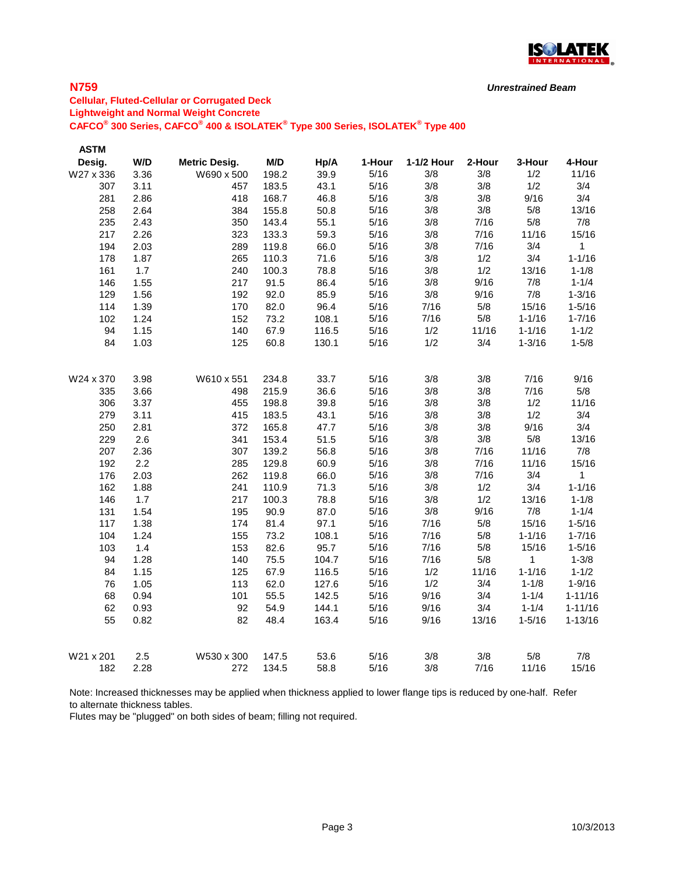

# **N759**

**Cellular, Fluted-Cellular or Corrugated Deck Lightweight and Normal Weight Concrete CAFCO® 300 Series, CAFCO® 400 & ISOLATEK® Type 300 Series, ISOLATEK® Type 400**

| W/D<br>M/D<br>Desig.<br>1-Hour<br>1-1/2 Hour<br>2-Hour<br><b>Metric Desig.</b><br>Hp/A<br>3-Hour<br>39.9<br>W27 x 336<br>3.36<br>W690 x 500<br>198.2<br>5/16<br>3/8<br>3/8<br>1/2<br>5/16<br>3/8<br>1/2<br>3.11<br>183.5<br>43.1<br>3/8<br>307<br>457<br>3/8<br>281<br>2.86<br>418<br>168.7<br>46.8<br>5/16<br>3/8<br>9/16<br>5/16<br>3/8<br>3/8<br>258<br>2.64<br>384<br>155.8<br>50.8<br>5/8<br>2.43<br>5/16<br>3/8<br>7/16<br>5/8<br>235<br>350<br>143.4<br>55.1<br>59.3<br>5/16<br>3/8<br>7/16<br>217<br>2.26<br>323<br>133.3<br>11/16 | 4-Hour<br>11/16<br>3/4<br>3/4<br>13/16<br>7/8<br>15/16<br>$\mathbf{1}$<br>$1 - 1/16$ |
|--------------------------------------------------------------------------------------------------------------------------------------------------------------------------------------------------------------------------------------------------------------------------------------------------------------------------------------------------------------------------------------------------------------------------------------------------------------------------------------------------------------------------------------------|--------------------------------------------------------------------------------------|
|                                                                                                                                                                                                                                                                                                                                                                                                                                                                                                                                            |                                                                                      |
|                                                                                                                                                                                                                                                                                                                                                                                                                                                                                                                                            |                                                                                      |
|                                                                                                                                                                                                                                                                                                                                                                                                                                                                                                                                            |                                                                                      |
|                                                                                                                                                                                                                                                                                                                                                                                                                                                                                                                                            |                                                                                      |
|                                                                                                                                                                                                                                                                                                                                                                                                                                                                                                                                            |                                                                                      |
|                                                                                                                                                                                                                                                                                                                                                                                                                                                                                                                                            |                                                                                      |
|                                                                                                                                                                                                                                                                                                                                                                                                                                                                                                                                            |                                                                                      |
| 5/16<br>3/8<br>3/4<br>66.0<br>7/16<br>194<br>2.03<br>289<br>119.8                                                                                                                                                                                                                                                                                                                                                                                                                                                                          |                                                                                      |
| 5/16<br>3/8<br>3/4<br>1/2<br>178<br>1.87<br>265<br>110.3<br>71.6                                                                                                                                                                                                                                                                                                                                                                                                                                                                           |                                                                                      |
| 5/16<br>3/8<br>1.7<br>1/2<br>13/16<br>161<br>240<br>100.3<br>78.8                                                                                                                                                                                                                                                                                                                                                                                                                                                                          | $1 - 1/8$                                                                            |
| 3/8<br>9/16<br>5/16<br>7/8<br>146<br>1.55<br>217<br>91.5<br>86.4                                                                                                                                                                                                                                                                                                                                                                                                                                                                           | $1 - 1/4$                                                                            |
| 1.56<br>92.0<br>85.9<br>5/16<br>3/8<br>7/8<br>129<br>192<br>9/16                                                                                                                                                                                                                                                                                                                                                                                                                                                                           | $1 - 3/16$                                                                           |
| 82.0<br>96.4<br>5/16<br>7/16<br>114<br>1.39<br>170<br>5/8<br>15/16                                                                                                                                                                                                                                                                                                                                                                                                                                                                         | $1 - 5/16$                                                                           |
| 5/8<br>102<br>1.24<br>73.2<br>108.1<br>5/16<br>7/16<br>$1 - 1/16$<br>152                                                                                                                                                                                                                                                                                                                                                                                                                                                                   | $1 - 7/16$                                                                           |
| 1.15<br>1/2<br>94<br>140<br>67.9<br>116.5<br>5/16<br>11/16<br>$1 - 1/16$                                                                                                                                                                                                                                                                                                                                                                                                                                                                   | $1 - 1/2$                                                                            |
| 84<br>5/16<br>1/2<br>3/4<br>1.03<br>125<br>60.8<br>130.1<br>$1 - 3/16$                                                                                                                                                                                                                                                                                                                                                                                                                                                                     | $1 - 5/8$                                                                            |
|                                                                                                                                                                                                                                                                                                                                                                                                                                                                                                                                            |                                                                                      |
| 5/16<br>3/8<br>3/8<br>7/16<br>3.98<br>234.8<br>33.7<br>W24 x 370<br>W610 x 551                                                                                                                                                                                                                                                                                                                                                                                                                                                             | 9/16                                                                                 |
| 5/16<br>3/8<br>3/8<br>36.6<br>7/16<br>3.66<br>498<br>215.9<br>335                                                                                                                                                                                                                                                                                                                                                                                                                                                                          | 5/8                                                                                  |
| 5/16<br>3/8<br>1/2<br>3/8<br>306<br>455<br>39.8<br>3.37<br>198.8                                                                                                                                                                                                                                                                                                                                                                                                                                                                           | 11/16                                                                                |
| 5/16<br>3/8<br>1/2<br>3/8<br>279<br>3.11<br>415<br>183.5<br>43.1                                                                                                                                                                                                                                                                                                                                                                                                                                                                           | 3/4                                                                                  |
| 5/16<br>3/8<br>9/16<br>250<br>2.81<br>372<br>165.8<br>47.7<br>3/8                                                                                                                                                                                                                                                                                                                                                                                                                                                                          | 3/4                                                                                  |
| 2.6<br>51.5<br>5/16<br>3/8<br>3/8<br>5/8<br>229<br>341<br>153.4                                                                                                                                                                                                                                                                                                                                                                                                                                                                            | 13/16                                                                                |
| 3/8<br>207<br>2.36<br>307<br>139.2<br>56.8<br>5/16<br>7/16<br>11/16                                                                                                                                                                                                                                                                                                                                                                                                                                                                        | 7/8                                                                                  |
| 3/8<br>192<br>2.2<br>285<br>129.8<br>60.9<br>5/16<br>7/16<br>11/16                                                                                                                                                                                                                                                                                                                                                                                                                                                                         | 15/16                                                                                |
| 2.03<br>3/8<br>176<br>262<br>119.8<br>66.0<br>5/16<br>7/16<br>3/4                                                                                                                                                                                                                                                                                                                                                                                                                                                                          | $\mathbf{1}$                                                                         |
| 5/16<br>3/8<br>3/4<br>162<br>1.88<br>241<br>110.9<br>71.3<br>1/2                                                                                                                                                                                                                                                                                                                                                                                                                                                                           | $1 - 1/16$                                                                           |
| 1.7<br>3/8<br>146<br>217<br>100.3<br>78.8<br>5/16<br>1/2<br>13/16                                                                                                                                                                                                                                                                                                                                                                                                                                                                          | $1 - 1/8$                                                                            |
| 3/8<br>7/8<br>90.9<br>5/16<br>9/16<br>131<br>1.54<br>195<br>87.0                                                                                                                                                                                                                                                                                                                                                                                                                                                                           | $1 - 1/4$                                                                            |
| 5/16<br>97.1<br>7/16<br>5/8<br>15/16<br>117<br>1.38<br>81.4<br>174                                                                                                                                                                                                                                                                                                                                                                                                                                                                         | $1 - 5/16$                                                                           |
| 5/16<br>7/16<br>5/8<br>$1 - 1/16$<br>104<br>1.24<br>73.2<br>108.1<br>155                                                                                                                                                                                                                                                                                                                                                                                                                                                                   | $1 - 7/16$                                                                           |
| 1.4<br>5/16<br>7/16<br>5/8<br>15/16<br>103<br>153<br>82.6<br>95.7                                                                                                                                                                                                                                                                                                                                                                                                                                                                          | $1 - 5/16$                                                                           |
| 94<br>1.28<br>75.5<br>5/16<br>5/8<br>140<br>104.7<br>7/16<br>1                                                                                                                                                                                                                                                                                                                                                                                                                                                                             | $1 - 3/8$                                                                            |
| 5/16<br>1/2<br>84<br>1.15<br>125<br>67.9<br>116.5<br>11/16<br>$1 - 1/16$                                                                                                                                                                                                                                                                                                                                                                                                                                                                   | $1 - 1/2$                                                                            |
| 1/2<br>1.05<br>62.0<br>127.6<br>5/16<br>3/4<br>$1 - 1/8$<br>76<br>113                                                                                                                                                                                                                                                                                                                                                                                                                                                                      | $1 - 9/16$                                                                           |
| 9/16<br>68<br>101<br>55.5<br>142.5<br>5/16<br>3/4<br>0.94<br>$1 - 1/4$                                                                                                                                                                                                                                                                                                                                                                                                                                                                     | $1 - 11/16$                                                                          |
| 62<br>54.9<br>144.1<br>5/16<br>9/16<br>3/4<br>0.93<br>92<br>$1 - 1/4$                                                                                                                                                                                                                                                                                                                                                                                                                                                                      | $1 - 11/16$                                                                          |
| 55<br>48.4<br>163.4<br>5/16<br>9/16<br>0.82<br>82<br>13/16<br>$1 - 5/16$                                                                                                                                                                                                                                                                                                                                                                                                                                                                   | $1 - 13/16$                                                                          |
| 5/8<br>5/16<br>3/8<br>3/8<br>W21 x 201<br>2.5<br>W530 x 300<br>53.6<br>147.5                                                                                                                                                                                                                                                                                                                                                                                                                                                               | 7/8                                                                                  |
| 5/16<br>3/8<br>7/16<br>11/16<br>182<br>272<br>58.8<br>2.28<br>134.5                                                                                                                                                                                                                                                                                                                                                                                                                                                                        |                                                                                      |

Note: Increased thicknesses may be applied when thickness applied to lower flange tips is reduced by one-half. Refer to alternate thickness tables.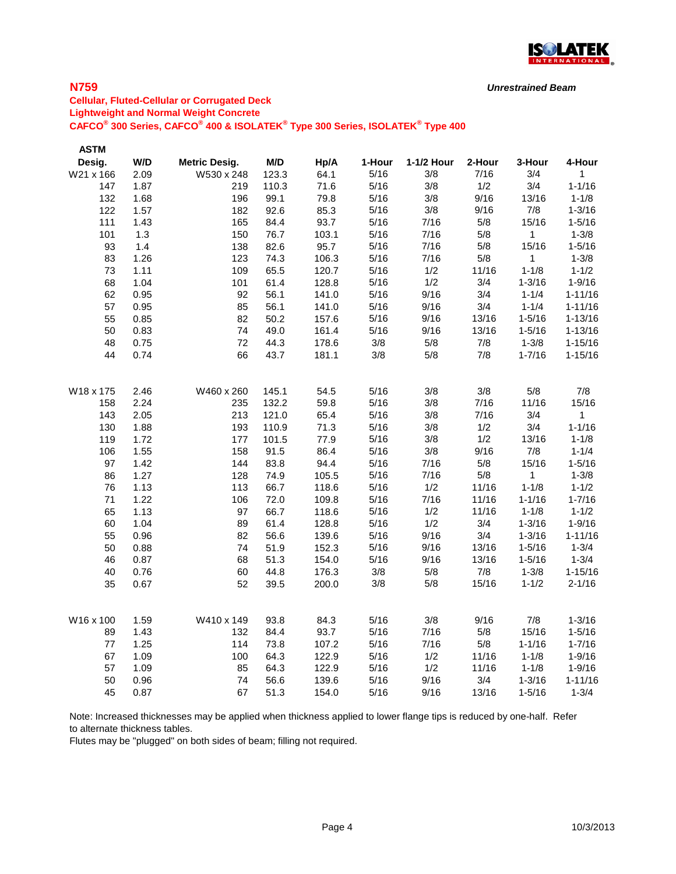

# **N759**

**Cellular, Fluted-Cellular or Corrugated Deck Lightweight and Normal Weight Concrete CAFCO® 300 Series, CAFCO® 400 & ISOLATEK® Type 300 Series, ISOLATEK® Type 400**

| <b>ASTM</b> |      |                      |       |       |        |            |        |              |              |
|-------------|------|----------------------|-------|-------|--------|------------|--------|--------------|--------------|
| Desig.      | W/D  | <b>Metric Desig.</b> | M/D   | Hp/A  | 1-Hour | 1-1/2 Hour | 2-Hour | 3-Hour       | 4-Hour       |
| W21 x 166   | 2.09 | W530 x 248           | 123.3 | 64.1  | 5/16   | 3/8        | 7/16   | 3/4          | 1            |
| 147         | 1.87 | 219                  | 110.3 | 71.6  | 5/16   | 3/8        | 1/2    | 3/4          | $1 - 1/16$   |
| 132         | 1.68 | 196                  | 99.1  | 79.8  | 5/16   | 3/8        | 9/16   | 13/16        | $1 - 1/8$    |
| 122         | 1.57 | 182                  | 92.6  | 85.3  | 5/16   | 3/8        | 9/16   | 7/8          | $1 - 3/16$   |
| 111         | 1.43 | 165                  | 84.4  | 93.7  | 5/16   | 7/16       | 5/8    | 15/16        | $1 - 5/16$   |
| 101         | 1.3  | 150                  | 76.7  | 103.1 | 5/16   | 7/16       | 5/8    | $\mathbf{1}$ | $1 - 3/8$    |
| 93          | 1.4  | 138                  | 82.6  | 95.7  | 5/16   | 7/16       | 5/8    | 15/16        | $1 - 5/16$   |
| 83          | 1.26 | 123                  | 74.3  | 106.3 | 5/16   | 7/16       | 5/8    | $\mathbf{1}$ | $1 - 3/8$    |
| 73          | 1.11 | 109                  | 65.5  | 120.7 | 5/16   | 1/2        | 11/16  | $1 - 1/8$    | $1 - 1/2$    |
| 68          | 1.04 | 101                  | 61.4  | 128.8 | 5/16   | 1/2        | 3/4    | $1 - 3/16$   | $1 - 9/16$   |
| 62          | 0.95 | 92                   | 56.1  | 141.0 | 5/16   | 9/16       | 3/4    | $1 - 1/4$    | $1 - 11/16$  |
| 57          | 0.95 | 85                   | 56.1  | 141.0 | 5/16   | 9/16       | 3/4    | $1 - 1/4$    | $1 - 11/16$  |
| 55          | 0.85 | 82                   | 50.2  | 157.6 | 5/16   | 9/16       | 13/16  | $1 - 5/16$   | $1 - 13/16$  |
| 50          | 0.83 | 74                   | 49.0  | 161.4 | 5/16   | 9/16       | 13/16  | $1 - 5/16$   | $1 - 13/16$  |
| 48          | 0.75 | 72                   | 44.3  | 178.6 | 3/8    | 5/8        | 7/8    | $1 - 3/8$    | $1 - 15/16$  |
| 44          | 0.74 | 66                   | 43.7  | 181.1 | 3/8    | 5/8        | 7/8    | $1 - 7/16$   | $1 - 15/16$  |
|             |      |                      |       |       |        |            |        |              |              |
| W18 x 175   | 2.46 | W460 x 260           | 145.1 | 54.5  | 5/16   | 3/8        | 3/8    | 5/8          | 7/8          |
| 158         | 2.24 | 235                  | 132.2 | 59.8  | 5/16   | 3/8        | 7/16   | 11/16        | 15/16        |
| 143         | 2.05 | 213                  | 121.0 | 65.4  | 5/16   | 3/8        | 7/16   | 3/4          | $\mathbf{1}$ |
| 130         | 1.88 | 193                  | 110.9 | 71.3  | 5/16   | 3/8        | 1/2    | 3/4          | $1 - 1/16$   |
| 119         | 1.72 | 177                  | 101.5 | 77.9  | 5/16   | 3/8        | 1/2    | 13/16        | $1 - 1/8$    |
| 106         | 1.55 | 158                  | 91.5  | 86.4  | 5/16   | 3/8        | 9/16   | 7/8          | $1 - 1/4$    |
| 97          | 1.42 | 144                  | 83.8  | 94.4  | 5/16   | 7/16       | 5/8    | 15/16        | $1 - 5/16$   |
| 86          | 1.27 | 128                  | 74.9  | 105.5 | 5/16   | 7/16       | 5/8    | $\mathbf 1$  | $1 - 3/8$    |
| 76          | 1.13 | 113                  | 66.7  | 118.6 | 5/16   | 1/2        | 11/16  | $1 - 1/8$    | $1 - 1/2$    |
| 71          | 1.22 | 106                  | 72.0  | 109.8 | 5/16   | 7/16       | 11/16  | $1 - 1/16$   | $1 - 7/16$   |
| 65          | 1.13 | 97                   | 66.7  | 118.6 | 5/16   | 1/2        | 11/16  | $1 - 1/8$    | $1 - 1/2$    |
| 60          | 1.04 | 89                   | 61.4  | 128.8 | 5/16   | 1/2        | 3/4    | $1 - 3/16$   | $1 - 9/16$   |
| 55          | 0.96 | 82                   | 56.6  | 139.6 | 5/16   | 9/16       | 3/4    | $1 - 3/16$   | $1 - 11/16$  |
| 50          | 0.88 | 74                   | 51.9  | 152.3 | 5/16   | 9/16       | 13/16  | $1 - 5/16$   | $1 - 3/4$    |
| 46          | 0.87 | 68                   | 51.3  | 154.0 | 5/16   | 9/16       | 13/16  | $1 - 5/16$   | $1 - 3/4$    |
| 40          | 0.76 | 60                   | 44.8  | 176.3 | 3/8    | 5/8        | 7/8    | $1 - 3/8$    | $1 - 15/16$  |
| 35          | 0.67 | 52                   | 39.5  | 200.0 | $3/8$  | $5/8$      | 15/16  | $1 - 1/2$    | $2 - 1/16$   |
|             |      |                      |       |       |        |            |        |              |              |
| W16 x 100   | 1.59 | W410 x 149           | 93.8  | 84.3  | 5/16   | 3/8        | 9/16   | 7/8          | $1 - 3/16$   |
| 89          | 1.43 | 132                  | 84.4  | 93.7  | 5/16   | 7/16       | 5/8    | 15/16        | $1 - 5/16$   |
| 77          | 1.25 | 114                  | 73.8  | 107.2 | 5/16   | 7/16       | 5/8    | $1 - 1/16$   | $1 - 7/16$   |
| 67          | 1.09 | 100                  | 64.3  | 122.9 | 5/16   | 1/2        | 11/16  | $1 - 1/8$    | $1 - 9/16$   |
| 57          | 1.09 | 85                   | 64.3  | 122.9 | 5/16   | 1/2        | 11/16  | $1 - 1/8$    | $1 - 9/16$   |
| 50          | 0.96 | 74                   | 56.6  | 139.6 | 5/16   | 9/16       | 3/4    | $1 - 3/16$   | $1 - 11/16$  |
| 45          | 0.87 | 67                   | 51.3  | 154.0 | 5/16   | 9/16       | 13/16  | $1 - 5/16$   | $1 - 3/4$    |

Note: Increased thicknesses may be applied when thickness applied to lower flange tips is reduced by one-half. Refer to alternate thickness tables.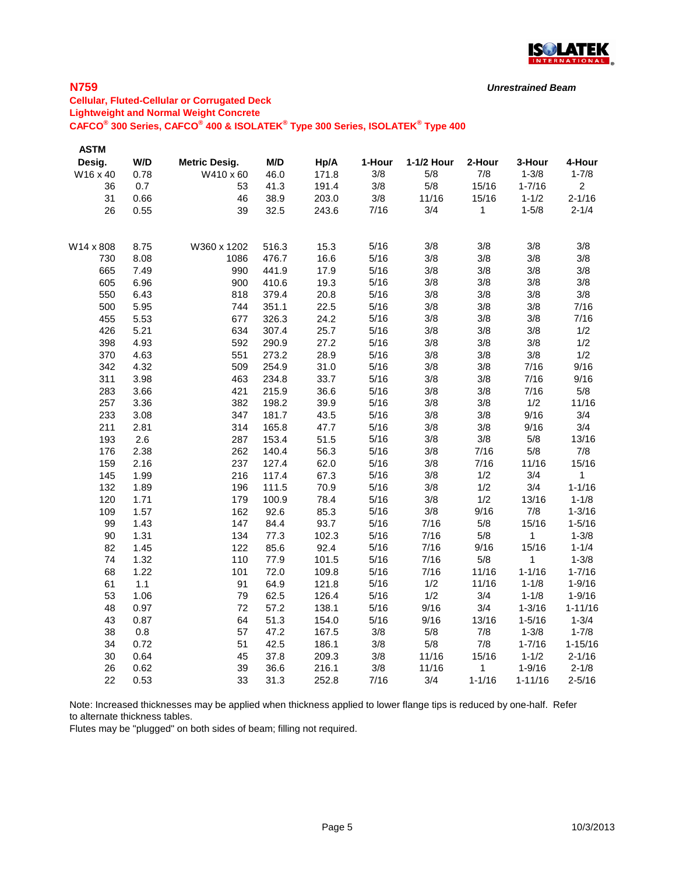

# **N759**

### **Cellular, Fluted-Cellular or Corrugated Deck Lightweight and Normal Weight Concrete CAFCO® 300 Series, CAFCO® 400 & ISOLATEK® Type 300 Series, ISOLATEK® Type 400**

| <b>ASTM</b> |      |                      |       |       |        |            |            |             |                |
|-------------|------|----------------------|-------|-------|--------|------------|------------|-------------|----------------|
| Desig.      | W/D  | <b>Metric Desig.</b> | M/D   | Hp/A  | 1-Hour | 1-1/2 Hour | 2-Hour     | 3-Hour      | 4-Hour         |
| W16 x 40    | 0.78 | W410 x 60            | 46.0  | 171.8 | 3/8    | 5/8        | 7/8        | $1 - 3/8$   | $1 - 7/8$      |
| 36          | 0.7  | 53                   | 41.3  | 191.4 | 3/8    | 5/8        | 15/16      | $1 - 7/16$  | $\overline{2}$ |
| 31          | 0.66 | 46                   | 38.9  | 203.0 | 3/8    | 11/16      | 15/16      | $1 - 1/2$   | $2 - 1/16$     |
| 26          | 0.55 | 39                   | 32.5  | 243.6 | 7/16   | 3/4        | 1          | $1 - 5/8$   | $2 - 1/4$      |
|             |      |                      |       |       |        |            |            |             |                |
| W14 x 808   | 8.75 | W360 x 1202          | 516.3 | 15.3  | 5/16   | 3/8        | 3/8        | 3/8         | 3/8            |
| 730         | 8.08 | 1086                 | 476.7 | 16.6  | 5/16   | 3/8        | 3/8        | 3/8         | 3/8            |
| 665         | 7.49 | 990                  | 441.9 | 17.9  | 5/16   | 3/8        | 3/8        | 3/8         | 3/8            |
| 605         | 6.96 | 900                  | 410.6 | 19.3  | 5/16   | 3/8        | 3/8        | 3/8         | 3/8            |
| 550         | 6.43 | 818                  | 379.4 | 20.8  | 5/16   | 3/8        | 3/8        | 3/8         | 3/8            |
| 500         | 5.95 | 744                  | 351.1 | 22.5  | 5/16   | 3/8        | 3/8        | 3/8         | 7/16           |
| 455         | 5.53 | 677                  | 326.3 | 24.2  | 5/16   | 3/8        | 3/8        | 3/8         | 7/16           |
| 426         | 5.21 | 634                  | 307.4 | 25.7  | 5/16   | 3/8        | 3/8        | 3/8         | 1/2            |
| 398         | 4.93 | 592                  | 290.9 | 27.2  | 5/16   | 3/8        | 3/8        | 3/8         | 1/2            |
| 370         | 4.63 | 551                  | 273.2 | 28.9  | 5/16   | 3/8        | 3/8        | 3/8         | 1/2            |
| 342         | 4.32 | 509                  | 254.9 | 31.0  | 5/16   | 3/8        | 3/8        | 7/16        | 9/16           |
| 311         | 3.98 | 463                  | 234.8 | 33.7  | 5/16   | 3/8        | 3/8        | 7/16        | 9/16           |
| 283         | 3.66 | 421                  | 215.9 | 36.6  | 5/16   | 3/8        | 3/8        | 7/16        | 5/8            |
| 257         | 3.36 | 382                  | 198.2 | 39.9  | 5/16   | 3/8        | 3/8        | 1/2         | 11/16          |
| 233         | 3.08 | 347                  | 181.7 | 43.5  | 5/16   | 3/8        | 3/8        | 9/16        | 3/4            |
| 211         | 2.81 | 314                  | 165.8 | 47.7  | 5/16   | 3/8        | 3/8        | 9/16        | 3/4            |
| 193         | 2.6  | 287                  | 153.4 | 51.5  | 5/16   | 3/8        | 3/8        | 5/8         | 13/16          |
| 176         | 2.38 | 262                  | 140.4 | 56.3  | 5/16   | 3/8        | 7/16       | 5/8         | 7/8            |
| 159         | 2.16 | 237                  | 127.4 | 62.0  | 5/16   | 3/8        | 7/16       | 11/16       | 15/16          |
| 145         | 1.99 | 216                  | 117.4 | 67.3  | 5/16   | 3/8        | 1/2        | 3/4         | 1              |
| 132         | 1.89 | 196                  | 111.5 | 70.9  | 5/16   | 3/8        | 1/2        | 3/4         | $1 - 1/16$     |
| 120         | 1.71 | 179                  | 100.9 | 78.4  | 5/16   | 3/8        | 1/2        | 13/16       | $1 - 1/8$      |
| 109         | 1.57 | 162                  | 92.6  | 85.3  | 5/16   | 3/8        | 9/16       | 7/8         | $1 - 3/16$     |
| 99          | 1.43 | 147                  | 84.4  | 93.7  | 5/16   | 7/16       | 5/8        | 15/16       | $1 - 5/16$     |
| 90          | 1.31 | 134                  | 77.3  | 102.3 | 5/16   | 7/16       | 5/8        | 1           | $1 - 3/8$      |
| 82          | 1.45 | 122                  | 85.6  | 92.4  | 5/16   | 7/16       | 9/16       | 15/16       | $1 - 1/4$      |
| 74          | 1.32 | 110                  | 77.9  | 101.5 | 5/16   | 7/16       | 5/8        | 1           | $1 - 3/8$      |
| 68          | 1.22 | 101                  | 72.0  | 109.8 | 5/16   | 7/16       | 11/16      | $1 - 1/16$  | $1 - 7/16$     |
| 61          | 1.1  | 91                   | 64.9  | 121.8 | 5/16   | 1/2        | 11/16      | $1 - 1/8$   | $1 - 9/16$     |
| 53          | 1.06 | 79                   | 62.5  | 126.4 | 5/16   | 1/2        | 3/4        | $1 - 1/8$   | $1 - 9/16$     |
| 48          | 0.97 | 72                   | 57.2  | 138.1 | 5/16   | 9/16       | 3/4        | $1 - 3/16$  | $1 - 11/16$    |
| 43          | 0.87 | 64                   | 51.3  | 154.0 | 5/16   | 9/16       | 13/16      | $1 - 5/16$  | $1 - 3/4$      |
| 38          | 0.8  | 57                   | 47.2  | 167.5 | 3/8    | 5/8        | 7/8        | $1 - 3/8$   | $1 - 7/8$      |
| 34          | 0.72 | 51                   | 42.5  | 186.1 | 3/8    | 5/8        | 7/8        | $1 - 7/16$  | $1 - 15/16$    |
| 30          | 0.64 | 45                   | 37.8  | 209.3 | 3/8    | 11/16      | 15/16      | $1 - 1/2$   | $2 - 1/16$     |
| 26          | 0.62 | 39                   | 36.6  | 216.1 | 3/8    | 11/16      | 1          | $1 - 9/16$  | $2 - 1/8$      |
| 22          | 0.53 | 33                   | 31.3  | 252.8 | 7/16   | 3/4        | $1 - 1/16$ | $1 - 11/16$ | $2 - 5/16$     |

Note: Increased thicknesses may be applied when thickness applied to lower flange tips is reduced by one-half. Refer to alternate thickness tables.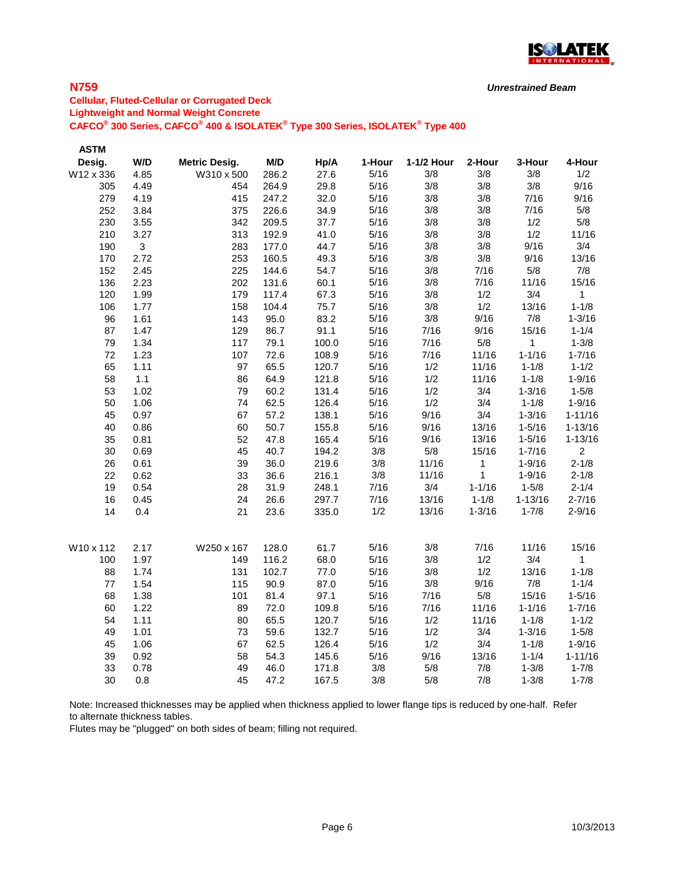

# **N759**

**Cellular, Fluted-Cellular or Corrugated Deck Lightweight and Normal Weight Concrete CAFCO® 300 Series, CAFCO® 400 & ISOLATEK® Type 300 Series, ISOLATEK® Type 400**

| <b>ASTM</b> |      |                      |       |       |        |            |            |             |              |
|-------------|------|----------------------|-------|-------|--------|------------|------------|-------------|--------------|
| Desig.      | W/D  | <b>Metric Desig.</b> | M/D   | Hp/A  | 1-Hour | 1-1/2 Hour | 2-Hour     | 3-Hour      | 4-Hour       |
| W12 x 336   | 4.85 | W310 x 500           | 286.2 | 27.6  | 5/16   | 3/8        | 3/8        | 3/8         | 1/2          |
| 305         | 4.49 | 454                  | 264.9 | 29.8  | 5/16   | 3/8        | 3/8        | 3/8         | 9/16         |
| 279         | 4.19 | 415                  | 247.2 | 32.0  | 5/16   | 3/8        | 3/8        | 7/16        | 9/16         |
| 252         | 3.84 | 375                  | 226.6 | 34.9  | 5/16   | 3/8        | 3/8        | 7/16        | 5/8          |
| 230         | 3.55 | 342                  | 209.5 | 37.7  | 5/16   | 3/8        | 3/8        | 1/2         | 5/8          |
| 210         | 3.27 | 313                  | 192.9 | 41.0  | 5/16   | 3/8        | 3/8        | 1/2         | 11/16        |
| 190         | 3    | 283                  | 177.0 | 44.7  | 5/16   | 3/8        | 3/8        | 9/16        | 3/4          |
| 170         | 2.72 | 253                  | 160.5 | 49.3  | 5/16   | 3/8        | 3/8        | 9/16        | 13/16        |
| 152         | 2.45 | 225                  | 144.6 | 54.7  | 5/16   | 3/8        | 7/16       | 5/8         | 7/8          |
| 136         | 2.23 | 202                  | 131.6 | 60.1  | 5/16   | 3/8        | 7/16       | 11/16       | 15/16        |
| 120         | 1.99 | 179                  | 117.4 | 67.3  | 5/16   | 3/8        | 1/2        | 3/4         | $\mathbf{1}$ |
| 106         | 1.77 | 158                  | 104.4 | 75.7  | 5/16   | 3/8        | 1/2        | 13/16       | $1 - 1/8$    |
| 96          | 1.61 | 143                  | 95.0  | 83.2  | 5/16   | 3/8        | 9/16       | 7/8         | $1 - 3/16$   |
| 87          | 1.47 | 129                  | 86.7  | 91.1  | 5/16   | 7/16       | 9/16       | 15/16       | $1 - 1/4$    |
| 79          | 1.34 | 117                  | 79.1  | 100.0 | 5/16   | 7/16       | 5/8        | 1           | $1 - 3/8$    |
| 72          | 1.23 | 107                  | 72.6  | 108.9 | 5/16   | 7/16       | 11/16      | $1 - 1/16$  | $1 - 7/16$   |
| 65          | 1.11 | 97                   | 65.5  | 120.7 | 5/16   | 1/2        | 11/16      | $1 - 1/8$   | $1 - 1/2$    |
| 58          | 1.1  | 86                   | 64.9  | 121.8 | 5/16   | 1/2        | 11/16      | $1 - 1/8$   | $1 - 9/16$   |
| 53          | 1.02 | 79                   | 60.2  | 131.4 | 5/16   | 1/2        | 3/4        | $1 - 3/16$  | $1 - 5/8$    |
| 50          | 1.06 | 74                   | 62.5  | 126.4 | 5/16   | 1/2        | 3/4        | $1 - 1/8$   | $1 - 9/16$   |
| 45          | 0.97 | 67                   | 57.2  | 138.1 | 5/16   | 9/16       | 3/4        | $1 - 3/16$  | $1 - 11/16$  |
| 40          | 0.86 | 60                   | 50.7  | 155.8 | 5/16   | 9/16       | 13/16      | $1 - 5/16$  | $1 - 13/16$  |
| 35          | 0.81 | 52                   | 47.8  | 165.4 | 5/16   | 9/16       | 13/16      | $1 - 5/16$  | $1 - 13/16$  |
| 30          | 0.69 | 45                   | 40.7  | 194.2 | 3/8    | $5/8$      | 15/16      | $1 - 7/16$  | $\mathbf{2}$ |
| 26          | 0.61 | 39                   | 36.0  | 219.6 | 3/8    | 11/16      | 1          | $1 - 9/16$  | $2 - 1/8$    |
| 22          | 0.62 | 33                   | 36.6  | 216.1 | 3/8    | 11/16      | 1          | $1 - 9/16$  | $2 - 1/8$    |
| 19          | 0.54 | 28                   | 31.9  | 248.1 | 7/16   | 3/4        | $1 - 1/16$ | $1 - 5/8$   | $2 - 1/4$    |
| 16          | 0.45 | 24                   | 26.6  | 297.7 | 7/16   | 13/16      | $1 - 1/8$  | $1 - 13/16$ | $2 - 7/16$   |
| 14          | 0.4  | 21                   | 23.6  | 335.0 | 1/2    | 13/16      | $1 - 3/16$ | $1 - 7/8$   | $2 - 9/16$   |
| W10 x 112   | 2.17 | W250 x 167           | 128.0 | 61.7  | 5/16   | 3/8        | 7/16       | 11/16       | 15/16        |
| 100         | 1.97 | 149                  | 116.2 | 68.0  | 5/16   | 3/8        | 1/2        | 3/4         | $\mathbf 1$  |
| 88          | 1.74 | 131                  | 102.7 | 77.0  | 5/16   | 3/8        | 1/2        | 13/16       | $1 - 1/8$    |
| 77          | 1.54 | 115                  | 90.9  | 87.0  | 5/16   | 3/8        | 9/16       | 7/8         | $1 - 1/4$    |
| 68          | 1.38 | 101                  | 81.4  | 97.1  | $5/16$ | 7/16       | 5/8        | 15/16       | $1 - 5/16$   |
| 60          | 1.22 | 89                   | 72.0  | 109.8 | 5/16   | 7/16       | 11/16      | $1 - 1/16$  | $1 - 7/16$   |
| 54          | 1.11 | 80                   | 65.5  | 120.7 | 5/16   | 1/2        | 11/16      | $1 - 1/8$   | $1 - 1/2$    |
| 49          | 1.01 | 73                   | 59.6  | 132.7 | 5/16   | 1/2        | 3/4        | $1 - 3/16$  | $1 - 5/8$    |
| 45          | 1.06 | 67                   | 62.5  | 126.4 | 5/16   | 1/2        | 3/4        | $1 - 1/8$   | $1 - 9/16$   |
| 39          | 0.92 | 58                   | 54.3  | 145.6 | 5/16   | 9/16       | 13/16      | $1 - 1/4$   | $1 - 11/16$  |
| 33          | 0.78 | 49                   | 46.0  | 171.8 | 3/8    | 5/8        | 7/8        | $1 - 3/8$   | $1 - 7/8$    |
| 30          | 0.8  | 45                   | 47.2  | 167.5 | 3/8    | 5/8        | 7/8        | $1 - 3/8$   | $1 - 7/8$    |

Note: Increased thicknesses may be applied when thickness applied to lower flange tips is reduced by one-half. Refer to alternate thickness tables.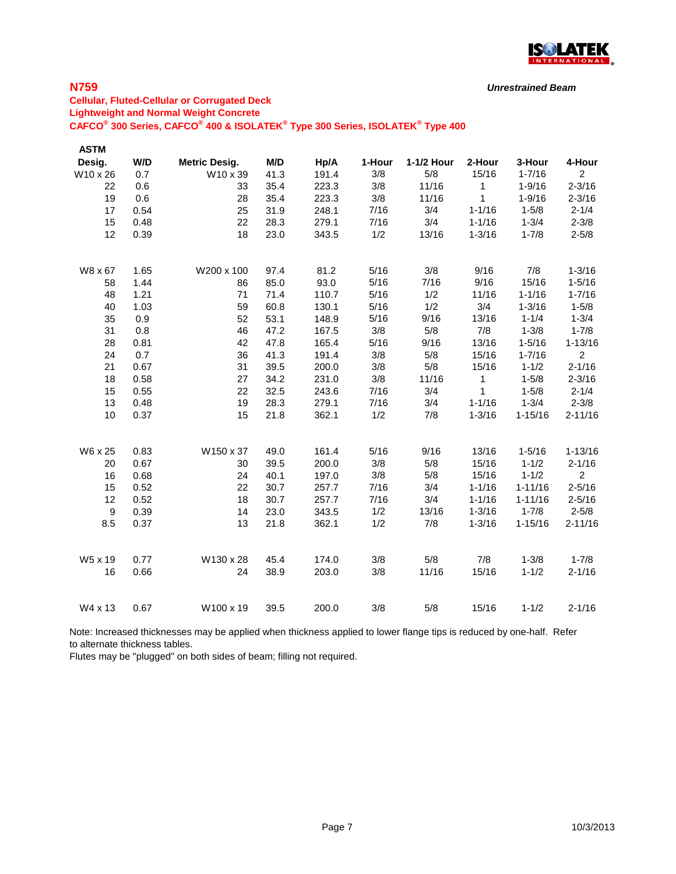

**N759**

### **Cellular, Fluted-Cellular or Corrugated Deck Lightweight and Normal Weight Concrete CAFCO® 300 Series, CAFCO® 400 & ISOLATEK® Type 300 Series, ISOLATEK® Type 400**

| <b>ASTM</b>      |      |                      |      |       |        |            |              |             |                |
|------------------|------|----------------------|------|-------|--------|------------|--------------|-------------|----------------|
| Desig.           | W/D  | <b>Metric Desig.</b> | M/D  | Hp/A  | 1-Hour | 1-1/2 Hour | 2-Hour       | 3-Hour      | 4-Hour         |
| W10 x 26         | 0.7  | W10 x 39             | 41.3 | 191.4 | 3/8    | 5/8        | 15/16        | $1 - 7/16$  | $\overline{2}$ |
| 22               | 0.6  | 33                   | 35.4 | 223.3 | 3/8    | 11/16      | 1            | $1 - 9/16$  | $2 - 3/16$     |
| 19               | 0.6  | 28                   | 35.4 | 223.3 | 3/8    | 11/16      | $\mathbf{1}$ | $1 - 9/16$  | $2 - 3/16$     |
| 17               | 0.54 | 25                   | 31.9 | 248.1 | 7/16   | 3/4        | $1 - 1/16$   | $1 - 5/8$   | $2 - 1/4$      |
| 15               | 0.48 | 22                   | 28.3 | 279.1 | 7/16   | 3/4        | $1 - 1/16$   | $1 - 3/4$   | $2 - 3/8$      |
| 12               | 0.39 | 18                   | 23.0 | 343.5 | 1/2    | 13/16      | $1 - 3/16$   | $1 - 7/8$   | $2 - 5/8$      |
| W8 x 67          | 1.65 | W200 x 100           | 97.4 | 81.2  | 5/16   | 3/8        | 9/16         | 7/8         | $1 - 3/16$     |
| 58               | 1.44 | 86                   | 85.0 | 93.0  | 5/16   | 7/16       | 9/16         | 15/16       | $1 - 5/16$     |
| 48               | 1.21 | 71                   | 71.4 | 110.7 | 5/16   | 1/2        | 11/16        | $1 - 1/16$  | $1 - 7/16$     |
| 40               | 1.03 | 59                   | 60.8 | 130.1 | 5/16   | 1/2        | 3/4          | $1 - 3/16$  | $1 - 5/8$      |
| 35               | 0.9  | 52                   | 53.1 | 148.9 | 5/16   | 9/16       | 13/16        | $1 - 1/4$   | $1 - 3/4$      |
| 31               | 0.8  | 46                   | 47.2 | 167.5 | 3/8    | 5/8        | 7/8          | $1 - 3/8$   | $1 - 7/8$      |
| 28               | 0.81 | 42                   | 47.8 | 165.4 | 5/16   | 9/16       | 13/16        | $1 - 5/16$  | $1 - 13/16$    |
| 24               | 0.7  | 36                   | 41.3 | 191.4 | 3/8    | 5/8        | 15/16        | $1 - 7/16$  | $\overline{2}$ |
| 21               | 0.67 | 31                   | 39.5 | 200.0 | 3/8    | 5/8        | 15/16        | $1 - 1/2$   | $2 - 1/16$     |
| 18               | 0.58 | 27                   | 34.2 | 231.0 | 3/8    | 11/16      | 1            | $1 - 5/8$   | $2 - 3/16$     |
| 15               | 0.55 | 22                   | 32.5 | 243.6 | 7/16   | 3/4        | 1            | $1 - 5/8$   | $2 - 1/4$      |
| 13               | 0.48 | 19                   | 28.3 | 279.1 | 7/16   | 3/4        | $1 - 1/16$   | $1 - 3/4$   | $2 - 3/8$      |
| 10               | 0.37 | 15                   | 21.8 | 362.1 | 1/2    | 7/8        | $1 - 3/16$   | $1 - 15/16$ | $2 - 11/16$    |
| W6 x 25          | 0.83 | W150 x 37            | 49.0 | 161.4 | 5/16   | 9/16       | 13/16        | $1 - 5/16$  | $1 - 13/16$    |
| 20               | 0.67 | 30                   | 39.5 | 200.0 | 3/8    | 5/8        | 15/16        | $1 - 1/2$   | $2 - 1/16$     |
| 16               | 0.68 | 24                   | 40.1 | 197.0 | 3/8    | 5/8        | 15/16        | $1 - 1/2$   | $\overline{2}$ |
| 15               | 0.52 | 22                   | 30.7 | 257.7 | 7/16   | 3/4        | $1 - 1/16$   | $1 - 11/16$ | $2 - 5/16$     |
| 12               | 0.52 | 18                   | 30.7 | 257.7 | 7/16   | 3/4        | $1 - 1/16$   | $1 - 11/16$ | $2 - 5/16$     |
| $\boldsymbol{9}$ | 0.39 | 14                   | 23.0 | 343.5 | 1/2    | 13/16      | $1 - 3/16$   | $1 - 7/8$   | $2 - 5/8$      |
| 8.5              | 0.37 | 13                   | 21.8 | 362.1 | 1/2    | 7/8        | $1 - 3/16$   | $1 - 15/16$ | $2 - 11/16$    |
| W5 x 19          | 0.77 | W130 x 28            | 45.4 | 174.0 | 3/8    | 5/8        | 7/8          | $1 - 3/8$   | $1 - 7/8$      |
| 16               | 0.66 | 24                   | 38.9 | 203.0 | 3/8    | 11/16      | 15/16        | $1 - 1/2$   | $2 - 1/16$     |
| W4 x 13          | 0.67 | W100 x 19            | 39.5 | 200.0 | 3/8    | 5/8        | 15/16        | $1 - 1/2$   | $2 - 1/16$     |

Note: Increased thicknesses may be applied when thickness applied to lower flange tips is reduced by one-half. Refer to alternate thickness tables.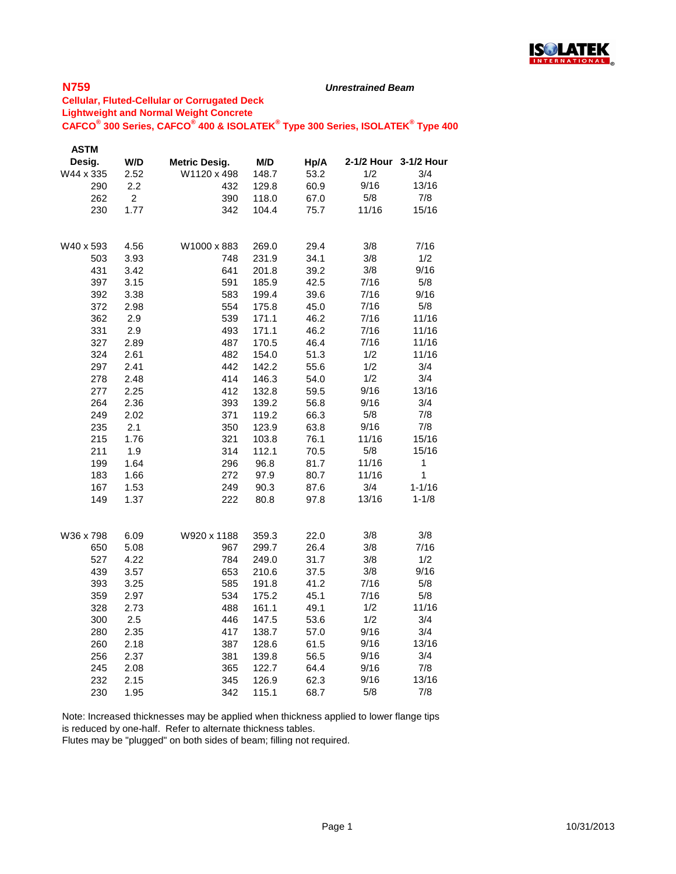

#### *Unrestrained Beam*

### **Cellular, Fluted-Cellular or Corrugated Deck Lightweight and Normal Weight Concrete CAFCO® 300 Series, CAFCO® 400 & ISOLATEK® Type 300 Series, ISOLATEK® Type 400**

| <b>ASTM</b> |                |                      |       |      |       |                       |
|-------------|----------------|----------------------|-------|------|-------|-----------------------|
| Desig.      | W/D            | <b>Metric Desig.</b> | M/D   | Hp/A |       | 2-1/2 Hour 3-1/2 Hour |
| W44 x 335   | 2.52           | W1120 x 498          | 148.7 | 53.2 | 1/2   | 3/4                   |
| 290         | 2.2            | 432                  | 129.8 | 60.9 | 9/16  | 13/16                 |
| 262         | $\overline{2}$ | 390                  | 118.0 | 67.0 | 5/8   | 7/8                   |
| 230         | 1.77           | 342                  | 104.4 | 75.7 | 11/16 | 15/16                 |
|             |                |                      |       |      |       |                       |
| W40 x 593   | 4.56           | W1000 x 883          | 269.0 | 29.4 | 3/8   | 7/16                  |
| 503         | 3.93           | 748                  | 231.9 | 34.1 | 3/8   | 1/2                   |
| 431         | 3.42           | 641                  | 201.8 | 39.2 | 3/8   | 9/16                  |
| 397         | 3.15           | 591                  | 185.9 | 42.5 | 7/16  | 5/8                   |
| 392         | 3.38           | 583                  | 199.4 | 39.6 | 7/16  | 9/16                  |
| 372         | 2.98           | 554                  | 175.8 | 45.0 | 7/16  | 5/8                   |
| 362         | 2.9            | 539                  | 171.1 | 46.2 | 7/16  | 11/16                 |
| 331         | 2.9            | 493                  | 171.1 | 46.2 | 7/16  | 11/16                 |
| 327         | 2.89           | 487                  | 170.5 | 46.4 | 7/16  | 11/16                 |
| 324         | 2.61           | 482                  | 154.0 | 51.3 | 1/2   | 11/16                 |
| 297         | 2.41           | 442                  | 142.2 | 55.6 | 1/2   | 3/4                   |
| 278         | 2.48           | 414                  | 146.3 | 54.0 | 1/2   | 3/4                   |
| 277         | 2.25           | 412                  | 132.8 | 59.5 | 9/16  | 13/16                 |
| 264         | 2.36           | 393                  | 139.2 | 56.8 | 9/16  | 3/4                   |
| 249         | 2.02           | 371                  | 119.2 | 66.3 | 5/8   | 7/8                   |
| 235         | 2.1            | 350                  | 123.9 | 63.8 | 9/16  | 7/8                   |
| 215         | 1.76           | 321                  | 103.8 | 76.1 | 11/16 | 15/16                 |
| 211         | 1.9            | 314                  | 112.1 | 70.5 | 5/8   | 15/16                 |
| 199         | 1.64           | 296                  | 96.8  | 81.7 | 11/16 | 1                     |
| 183         | 1.66           | 272                  | 97.9  | 80.7 | 11/16 | 1                     |
| 167         | 1.53           | 249                  | 90.3  | 87.6 | 3/4   | $1 - 1/16$            |
| 149         | 1.37           | 222                  | 80.8  | 97.8 | 13/16 | $1 - 1/8$             |
|             |                |                      |       |      |       |                       |
| W36 x 798   | 6.09           | W920 x 1188          | 359.3 | 22.0 | 3/8   | 3/8                   |
| 650         | 5.08           | 967                  | 299.7 | 26.4 | 3/8   | 7/16                  |
| 527         | 4.22           | 784                  | 249.0 | 31.7 | 3/8   | 1/2                   |
| 439         | 3.57           | 653                  | 210.6 | 37.5 | 3/8   | 9/16                  |
| 393         | 3.25           | 585                  | 191.8 | 41.2 | 7/16  | 5/8                   |
| 359         | 2.97           | 534                  | 175.2 | 45.1 | 7/16  | 5/8                   |
| 328         | 2.73           | 488                  | 161.1 | 49.1 | 1/2   | 11/16                 |
| 300         | 2.5            | 446                  | 147.5 | 53.6 | 1/2   | 3/4                   |
| 280         | 2.35           | 417                  | 138.7 | 57.0 | 9/16  | 3/4                   |
| 260         | 2.18           | 387                  | 128.6 | 61.5 | 9/16  | 13/16                 |
| 256         | 2.37           | 381                  | 139.8 | 56.5 | 9/16  | 3/4                   |
| 245         | 2.08           | 365                  | 122.7 | 64.4 | 9/16  | 7/8                   |
| 232         | 2.15           | 345                  | 126.9 | 62.3 | 9/16  | 13/16                 |
| 230         | 1.95           | 342                  | 115.1 | 68.7 | 5/8   | 7/8                   |

Note: Increased thicknesses may be applied when thickness applied to lower flange tips is reduced by one-half. Refer to alternate thickness tables.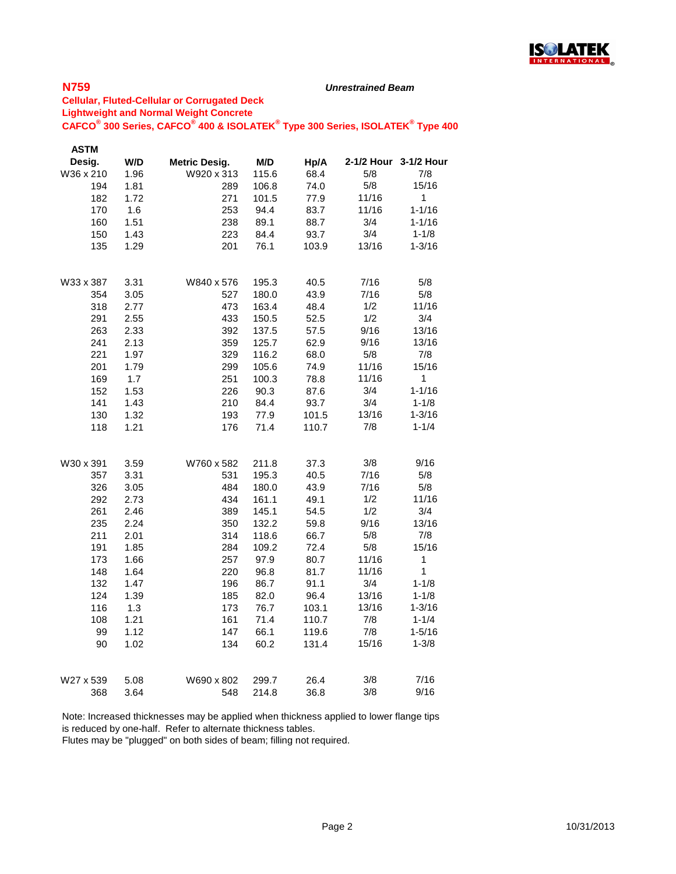

#### *Unrestrained Beam*

### **Cellular, Fluted-Cellular or Corrugated Deck Lightweight and Normal Weight Concrete CAFCO® 300 Series, CAFCO® 400 & ISOLATEK® Type 300 Series, ISOLATEK® Type 400**

| <b>ASTM</b> |      |                      |       |       |       |                       |
|-------------|------|----------------------|-------|-------|-------|-----------------------|
| Desig.      | W/D  | <b>Metric Desig.</b> | M/D   | Hp/A  |       | 2-1/2 Hour 3-1/2 Hour |
| W36 x 210   | 1.96 | W920 x 313           | 115.6 | 68.4  | 5/8   | 7/8                   |
| 194         | 1.81 | 289                  | 106.8 | 74.0  | 5/8   | 15/16                 |
| 182         | 1.72 | 271                  | 101.5 | 77.9  | 11/16 | $\mathbf{1}$          |
| 170         | 1.6  | 253                  | 94.4  | 83.7  | 11/16 | $1 - 1/16$            |
| 160         | 1.51 | 238                  | 89.1  | 88.7  | 3/4   | $1 - 1/16$            |
| 150         | 1.43 | 223                  | 84.4  | 93.7  | 3/4   | $1 - 1/8$             |
| 135         | 1.29 | 201                  | 76.1  | 103.9 | 13/16 | $1 - 3/16$            |
| W33 x 387   | 3.31 | W840 x 576           | 195.3 | 40.5  | 7/16  | 5/8                   |
| 354         | 3.05 | 527                  | 180.0 | 43.9  | 7/16  | 5/8                   |
| 318         | 2.77 | 473                  | 163.4 | 48.4  | 1/2   | 11/16                 |
| 291         | 2.55 | 433                  | 150.5 | 52.5  | 1/2   | 3/4                   |
| 263         | 2.33 | 392                  | 137.5 | 57.5  | 9/16  | 13/16                 |
| 241         | 2.13 | 359                  | 125.7 | 62.9  | 9/16  | 13/16                 |
| 221         | 1.97 | 329                  | 116.2 | 68.0  | 5/8   | 7/8                   |
| 201         | 1.79 | 299                  | 105.6 | 74.9  | 11/16 | 15/16                 |
| 169         | 1.7  | 251                  | 100.3 | 78.8  | 11/16 | $\mathbf{1}$          |
| 152         | 1.53 | 226                  | 90.3  | 87.6  | 3/4   | $1 - 1/16$            |
| 141         | 1.43 | 210                  | 84.4  | 93.7  | 3/4   | $1 - 1/8$             |
| 130         | 1.32 | 193                  | 77.9  | 101.5 | 13/16 | $1 - 3/16$            |
| 118         | 1.21 | 176                  | 71.4  | 110.7 | 7/8   | $1 - 1/4$             |
| W30 x 391   | 3.59 | W760 x 582           | 211.8 | 37.3  | 3/8   | 9/16                  |
| 357         | 3.31 | 531                  | 195.3 | 40.5  | 7/16  | 5/8                   |
| 326         | 3.05 | 484                  | 180.0 | 43.9  | 7/16  | 5/8                   |
| 292         | 2.73 | 434                  | 161.1 | 49.1  | 1/2   | 11/16                 |
| 261         | 2.46 | 389                  | 145.1 | 54.5  | 1/2   | 3/4                   |
| 235         | 2.24 | 350                  | 132.2 | 59.8  | 9/16  | 13/16                 |
| 211         | 2.01 | 314                  | 118.6 | 66.7  | 5/8   | 7/8                   |
| 191         | 1.85 | 284                  | 109.2 | 72.4  | 5/8   | 15/16                 |
| 173         | 1.66 | 257                  | 97.9  | 80.7  | 11/16 | 1                     |
| 148         | 1.64 | 220                  | 96.8  | 81.7  | 11/16 | 1                     |
| 132         | 1.47 | 196                  | 86.7  | 91.1  | 3/4   | $1 - 1/8$             |
| 124         | 1.39 | 185                  | 82.0  | 96.4  | 13/16 | $1 - 1/8$             |
| 116         | 1.3  | 173                  | 76.7  | 103.1 | 13/16 | $1 - 3/16$            |
| 108         | 1.21 | 161                  | 71.4  | 110.7 | 7/8   | $1 - 1/4$             |
| 99          | 1.12 | 147                  | 66.1  | 119.6 | 7/8   | $1 - 5/16$            |
| 90          | 1.02 | 134                  | 60.2  | 131.4 | 15/16 | $1 - 3/8$             |
| W27 x 539   | 5.08 | W690 x 802           | 299.7 | 26.4  | 3/8   | 7/16                  |
| 368         | 3.64 | 548                  | 214.8 | 36.8  | 3/8   | 9/16                  |

Note: Increased thicknesses may be applied when thickness applied to lower flange tips is reduced by one-half. Refer to alternate thickness tables.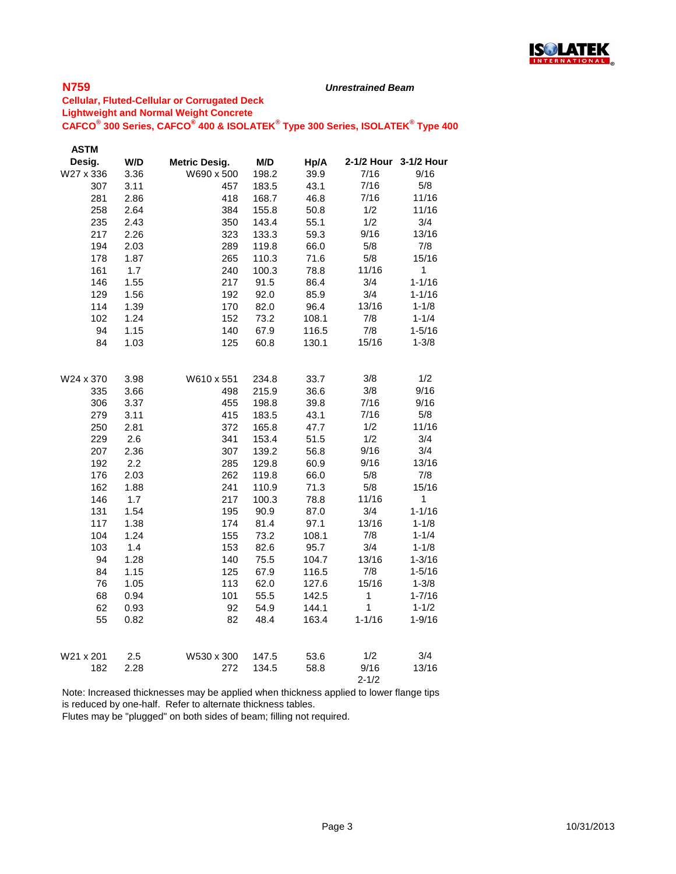

#### *Unrestrained Beam*

### **Cellular, Fluted-Cellular or Corrugated Deck Lightweight and Normal Weight Concrete CAFCO® 300 Series, CAFCO® 400 & ISOLATEK® Type 300 Series, ISOLATEK® Type 400**

| <b>ASTM</b> |              |                      |                |              |              |                       |
|-------------|--------------|----------------------|----------------|--------------|--------------|-----------------------|
| Desig.      | W/D          | <b>Metric Desig.</b> | M/D            | Hp/A         |              | 2-1/2 Hour 3-1/2 Hour |
| W27 x 336   | 3.36         | W690 x 500           | 198.2          | 39.9         | 7/16         | 9/16                  |
| 307         | 3.11         | 457                  | 183.5          | 43.1         | 7/16         | 5/8                   |
| 281         | 2.86         | 418                  | 168.7          | 46.8         | 7/16         | 11/16                 |
| 258         | 2.64         | 384                  | 155.8          | 50.8         | 1/2          | 11/16                 |
| 235         | 2.43         | 350                  | 143.4          | 55.1         | 1/2          | 3/4                   |
| 217         | 2.26         | 323                  | 133.3          | 59.3         | 9/16         | 13/16                 |
| 194         | 2.03         | 289                  | 119.8          | 66.0         | 5/8          | 7/8                   |
| 178         | 1.87         | 265                  | 110.3          | 71.6         | 5/8          | 15/16                 |
| 161         | 1.7          | 240                  | 100.3          | 78.8         | 11/16        | $\mathbf{1}$          |
| 146         | 1.55         | 217                  | 91.5           | 86.4         | 3/4          | $1 - 1/16$            |
| 129         | 1.56         | 192                  | 92.0           | 85.9         | 3/4          | 1-1/16                |
| 114         | 1.39         | 170                  | 82.0           | 96.4         | 13/16        | $1 - 1/8$             |
| 102         | 1.24         | 152                  | 73.2           | 108.1        | 7/8          | $1 - 1/4$             |
| 94          | 1.15         | 140                  | 67.9           | 116.5        | 7/8          | $1 - 5/16$            |
| 84          | 1.03         | 125                  | 60.8           | 130.1        | 15/16        | $1 - 3/8$             |
|             |              |                      |                |              |              |                       |
| W24 x 370   | 3.98         | W610 x 551           | 234.8          | 33.7         | 3/8          | 1/2                   |
| 335         | 3.66         | 498                  | 215.9          | 36.6         | 3/8          | 9/16                  |
| 306         | 3.37         | 455                  | 198.8          | 39.8         | 7/16         | 9/16                  |
| 279         | 3.11         | 415                  |                |              | 7/16         | 5/8                   |
| 250         | 2.81         | 372                  | 183.5<br>165.8 | 43.1<br>47.7 | 1/2          | 11/16                 |
| 229         | 2.6          | 341                  | 153.4          | 51.5         | 1/2          | 3/4                   |
| 207         | 2.36         | 307                  | 139.2          | 56.8         | 9/16         | 3/4                   |
| 192         | 2.2          | 285                  | 129.8          | 60.9         | 9/16         | 13/16                 |
| 176         |              |                      |                |              | 5/8          | 7/8                   |
| 162         | 2.03<br>1.88 | 262                  | 119.8<br>110.9 | 66.0<br>71.3 | 5/8          | 15/16                 |
| 146         | 1.7          | 241<br>217           | 100.3          | 78.8         | 11/16        | 1                     |
| 131         | 1.54         | 195                  | 90.9           | 87.0         | 3/4          | $1 - 1/16$            |
| 117         | 1.38         | 174                  | 81.4           | 97.1         | 13/16        | $1 - 1/8$             |
| 104         | 1.24         | 155                  | 73.2           | 108.1        | 7/8          | $1 - 1/4$             |
| 103         | 1.4          | 153                  | 82.6           | 95.7         | 3/4          | $1 - 1/8$             |
| 94          | 1.28         | 140                  | 75.5           | 104.7        | 13/16        | $1 - 3/16$            |
| 84          | 1.15         | 125                  | 67.9           | 116.5        | 7/8          | 1-5/16                |
| 76          | 1.05         | 113                  | 62.0           | 127.6        | 15/16        | $1 - 3/8$             |
| 68          | 0.94         | 101                  |                | 142.5        | $\mathbf{1}$ | $1 - 7/16$            |
|             |              |                      | 55.5           |              | 1            | $1 - 1/2$             |
| 62          | 0.93         | 92                   | 54.9           | 144.1        |              |                       |
| 55          | 0.82         | 82                   | 48.4           | 163.4        | $1 - 1/16$   | $1 - 9/16$            |
| W21 x 201   | 2.5          | W530 x 300           | 147.5          | 53.6         | 1/2          | 3/4                   |
| 182         | 2.28         | 272                  | 134.5          | 58.8         | 9/16         | 13/16                 |
|             |              |                      |                |              | $2 - 1/2$    |                       |

Note: Increased thicknesses may be applied when thickness applied to lower flange tips is reduced by one-half. Refer to alternate thickness tables.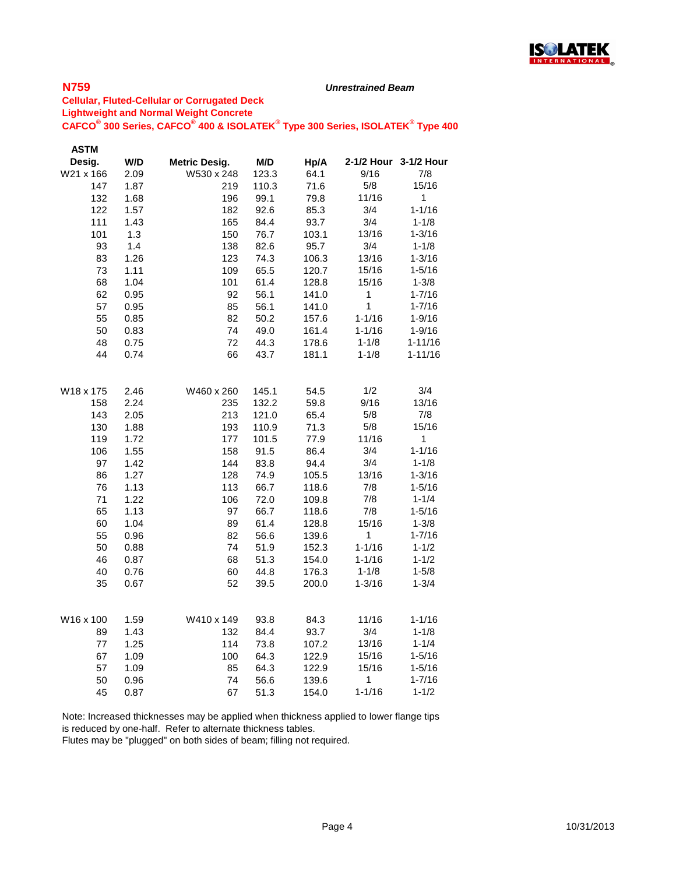

#### *Unrestrained Beam*

### **Cellular, Fluted-Cellular or Corrugated Deck Lightweight and Normal Weight Concrete CAFCO® 300 Series, CAFCO® 400 & ISOLATEK® Type 300 Series, ISOLATEK® Type 400**

| <b>ASTM</b> |      |                      |       |       |              |             |
|-------------|------|----------------------|-------|-------|--------------|-------------|
| Desig.      | W/D  | <b>Metric Desig.</b> | M/D   | Hp/A  | 2-1/2 Hour   | 3-1/2 Hour  |
| W21 x 166   | 2.09 | W530 x 248           | 123.3 | 64.1  | 9/16         | 7/8         |
| 147         | 1.87 | 219                  | 110.3 | 71.6  | 5/8          | 15/16       |
| 132         | 1.68 | 196                  | 99.1  | 79.8  | 11/16        | 1           |
| 122         | 1.57 | 182                  | 92.6  | 85.3  | 3/4          | $1 - 1/16$  |
| 111         | 1.43 | 165                  | 84.4  | 93.7  | 3/4          | $1 - 1/8$   |
| 101         | 1.3  | 150                  | 76.7  | 103.1 | 13/16        | $1 - 3/16$  |
| 93          | 1.4  | 138                  | 82.6  | 95.7  | 3/4          | $1 - 1/8$   |
| 83          | 1.26 | 123                  | 74.3  | 106.3 | 13/16        | $1 - 3/16$  |
| 73          | 1.11 | 109                  | 65.5  | 120.7 | 15/16        | $1 - 5/16$  |
| 68          | 1.04 | 101                  | 61.4  | 128.8 | 15/16        | $1 - 3/8$   |
| 62          | 0.95 | 92                   | 56.1  | 141.0 | $\mathbf{1}$ | $1 - 7/16$  |
| 57          | 0.95 | 85                   | 56.1  | 141.0 | 1            | $1 - 7/16$  |
| 55          | 0.85 | 82                   | 50.2  | 157.6 | 1-1/16       | $1 - 9/16$  |
| 50          | 0.83 | 74                   | 49.0  | 161.4 | 1-1/16       | $1 - 9/16$  |
| 48          | 0.75 | 72                   | 44.3  | 178.6 | $1 - 1/8$    | $1 - 11/16$ |
| 44          | 0.74 | 66                   | 43.7  | 181.1 | $1 - 1/8$    | $1 - 11/16$ |
|             |      |                      |       |       |              |             |
| W18 x 175   | 2.46 | W460 x 260           | 145.1 | 54.5  | 1/2          | 3/4         |
| 158         | 2.24 | 235                  | 132.2 | 59.8  | 9/16         | 13/16       |
| 143         | 2.05 | 213                  | 121.0 | 65.4  | 5/8          | 7/8         |
| 130         | 1.88 | 193                  | 110.9 | 71.3  | 5/8          | 15/16       |
| 119         | 1.72 | 177                  | 101.5 | 77.9  | 11/16        | 1           |
| 106         | 1.55 | 158                  | 91.5  | 86.4  | 3/4          | $1 - 1/16$  |
| 97          | 1.42 | 144                  | 83.8  | 94.4  | 3/4          | $1 - 1/8$   |
| 86          | 1.27 | 128                  | 74.9  | 105.5 | 13/16        | $1 - 3/16$  |
| 76          | 1.13 | 113                  | 66.7  | 118.6 | 7/8          | $1 - 5/16$  |
| 71          | 1.22 | 106                  | 72.0  | 109.8 | 7/8          | $1 - 1/4$   |
| 65          | 1.13 | 97                   | 66.7  | 118.6 | 7/8          | $1 - 5/16$  |
| 60          | 1.04 | 89                   | 61.4  | 128.8 | 15/16        | $1 - 3/8$   |
| 55          | 0.96 | 82                   | 56.6  | 139.6 | 1            | $1 - 7/16$  |
| 50          | 0.88 | 74                   | 51.9  | 152.3 | $1 - 1/16$   | $1 - 1/2$   |
| 46          | 0.87 | 68                   | 51.3  | 154.0 | 1-1/16       | $1 - 1/2$   |
| 40          | 0.76 | 60                   | 44.8  | 176.3 | $1 - 1/8$    | $1 - 5/8$   |
| 35          | 0.67 | 52                   | 39.5  | 200.0 | 1-3/16       | $1 - 3/4$   |
|             |      |                      |       |       |              |             |
| W16 x 100   | 1.59 | W410 x 149           | 93.8  | 84.3  | 11/16        | $1 - 1/16$  |
| 89          | 1.43 | 132                  | 84.4  | 93.7  | 3/4          | $1 - 1/8$   |
| 77          | 1.25 | 114                  | 73.8  | 107.2 | 13/16        | $1 - 1/4$   |
| 67          | 1.09 | 100                  | 64.3  | 122.9 | 15/16        | $1 - 5/16$  |
| 57          | 1.09 | 85                   | 64.3  | 122.9 | 15/16        | $1 - 5/16$  |
| 50          | 0.96 | 74                   | 56.6  | 139.6 | 1            | $1 - 7/16$  |
| 45          | 0.87 | 67                   | 51.3  | 154.0 | $1 - 1/16$   | $1 - 1/2$   |
|             |      |                      |       |       |              |             |

Note: Increased thicknesses may be applied when thickness applied to lower flange tips is reduced by one-half. Refer to alternate thickness tables.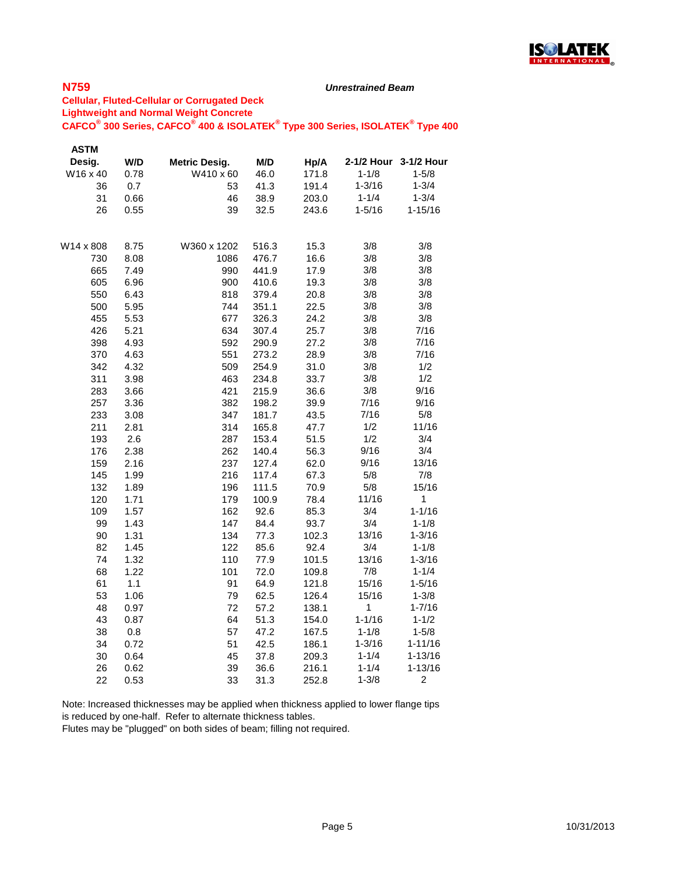

#### *Unrestrained Beam*

### **Cellular, Fluted-Cellular or Corrugated Deck Lightweight and Normal Weight Concrete CAFCO® 300 Series, CAFCO® 400 & ISOLATEK® Type 300 Series, ISOLATEK® Type 400**

| <b>ASTM</b> |      |               |       |       |            |                       |
|-------------|------|---------------|-------|-------|------------|-----------------------|
| Desig.      | W/D  | Metric Desig. | M/D   | Hp/A  |            | 2-1/2 Hour 3-1/2 Hour |
| W16 x 40    | 0.78 | W410 x 60     | 46.0  | 171.8 | $1 - 1/8$  | $1 - 5/8$             |
| 36          | 0.7  | 53            | 41.3  | 191.4 | $1 - 3/16$ | $1 - 3/4$             |
| 31          | 0.66 | 46            | 38.9  | 203.0 | $1 - 1/4$  | $1 - 3/4$             |
| 26          | 0.55 | 39            | 32.5  | 243.6 | $1 - 5/16$ | $1 - 15/16$           |
| W14 x 808   | 8.75 | W360 x 1202   | 516.3 | 15.3  | 3/8        | 3/8                   |
| 730         | 8.08 | 1086          | 476.7 | 16.6  | 3/8        | 3/8                   |
| 665         | 7.49 | 990           | 441.9 | 17.9  | 3/8        | 3/8                   |
| 605         | 6.96 | 900           | 410.6 | 19.3  | 3/8        | 3/8                   |
| 550         | 6.43 | 818           | 379.4 | 20.8  | 3/8        | 3/8                   |
| 500         | 5.95 | 744           | 351.1 | 22.5  | 3/8        | 3/8                   |
| 455         | 5.53 | 677           | 326.3 | 24.2  | 3/8        | 3/8                   |
| 426         | 5.21 | 634           | 307.4 | 25.7  | 3/8        | 7/16                  |
| 398         | 4.93 | 592           | 290.9 | 27.2  | 3/8        | 7/16                  |
| 370         | 4.63 | 551           | 273.2 | 28.9  | 3/8        | 7/16                  |
| 342         | 4.32 | 509           | 254.9 | 31.0  | 3/8        | 1/2                   |
| 311         | 3.98 | 463           | 234.8 | 33.7  | 3/8        | 1/2                   |
| 283         | 3.66 | 421           | 215.9 | 36.6  | 3/8        | 9/16                  |
| 257         | 3.36 | 382           | 198.2 | 39.9  | 7/16       | 9/16                  |
| 233         | 3.08 | 347           | 181.7 | 43.5  | 7/16       | 5/8                   |
| 211         | 2.81 | 314           | 165.8 | 47.7  | 1/2        | 11/16                 |
| 193         | 2.6  | 287           | 153.4 | 51.5  | 1/2        | 3/4                   |
| 176         | 2.38 | 262           | 140.4 | 56.3  | 9/16       | 3/4                   |
| 159         | 2.16 | 237           | 127.4 | 62.0  | 9/16       | 13/16                 |
| 145         | 1.99 | 216           | 117.4 | 67.3  | 5/8        | 7/8                   |
| 132         | 1.89 | 196           | 111.5 | 70.9  | 5/8        | 15/16                 |
| 120         | 1.71 | 179           | 100.9 | 78.4  | 11/16      | 1                     |
| 109         | 1.57 | 162           | 92.6  | 85.3  | 3/4        | $1 - 1/16$            |
| 99          | 1.43 | 147           | 84.4  | 93.7  | 3/4        | $1 - 1/8$             |
| 90          | 1.31 | 134           | 77.3  | 102.3 | 13/16      | $1 - 3/16$            |
| 82          | 1.45 | 122           | 85.6  | 92.4  | 3/4        | $1 - 1/8$             |
| 74          | 1.32 | 110           | 77.9  | 101.5 | 13/16      | $1 - 3/16$            |
| 68          | 1.22 | 101           | 72.0  | 109.8 | 7/8        | $1 - 1/4$             |
| 61          | 1.1  | 91            | 64.9  | 121.8 | 15/16      | $1 - 5/16$            |
| 53          | 1.06 | 79            | 62.5  | 126.4 | 15/16      | $1 - 3/8$             |
| 48          | 0.97 | 72            | 57.2  | 138.1 | 1          | $1 - 7/16$            |
| 43          | 0.87 | 64            | 51.3  | 154.0 | $1 - 1/16$ | $1 - 1/2$             |
| 38          | 0.8  | 57            | 47.2  | 167.5 | $1 - 1/8$  | $1 - 5/8$             |
| 34          | 0.72 | 51            | 42.5  | 186.1 | $1 - 3/16$ | $1 - 11/16$           |
| 30          | 0.64 | 45            | 37.8  | 209.3 | $1 - 1/4$  | $1 - 13/16$           |
| 26          | 0.62 | 39            | 36.6  | 216.1 | $1 - 1/4$  | $1 - 13/16$           |
| 22          | 0.53 | 33            | 31.3  | 252.8 | $1 - 3/8$  | 2                     |

Note: Increased thicknesses may be applied when thickness applied to lower flange tips is reduced by one-half. Refer to alternate thickness tables.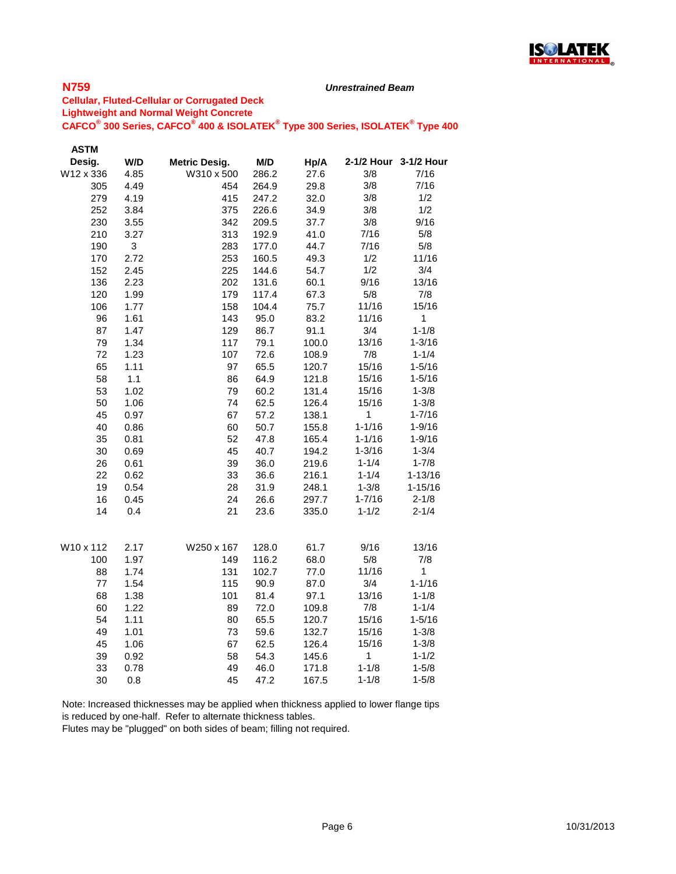

#### *Unrestrained Beam*

### **Cellular, Fluted-Cellular or Corrugated Deck Lightweight and Normal Weight Concrete CAFCO® 300 Series, CAFCO® 400 & ISOLATEK® Type 300 Series, ISOLATEK® Type 400**

| <b>ASTM</b> |      |                      |       |       |              |                       |
|-------------|------|----------------------|-------|-------|--------------|-----------------------|
| Desig.      | W/D  | <b>Metric Desig.</b> | M/D   | Hp/A  |              | 2-1/2 Hour 3-1/2 Hour |
| W12 x 336   | 4.85 | W310 x 500           | 286.2 | 27.6  | 3/8          | 7/16                  |
| 305         | 4.49 | 454                  | 264.9 | 29.8  | 3/8          | 7/16                  |
| 279         | 4.19 | 415                  | 247.2 | 32.0  | 3/8          | 1/2                   |
| 252         | 3.84 | 375                  | 226.6 | 34.9  | 3/8          | 1/2                   |
| 230         | 3.55 | 342                  | 209.5 | 37.7  | 3/8          | 9/16                  |
| 210         | 3.27 | 313                  | 192.9 | 41.0  | 7/16         | 5/8                   |
| 190         | 3    | 283                  | 177.0 | 44.7  | 7/16         | 5/8                   |
| 170         | 2.72 | 253                  | 160.5 | 49.3  | 1/2          | 11/16                 |
| 152         | 2.45 | 225                  | 144.6 | 54.7  | 1/2          | 3/4                   |
| 136         | 2.23 | 202                  | 131.6 | 60.1  | 9/16         | 13/16                 |
| 120         | 1.99 | 179                  | 117.4 | 67.3  | 5/8          | 7/8                   |
| 106         | 1.77 | 158                  | 104.4 | 75.7  | 11/16        | 15/16                 |
| 96          | 1.61 | 143                  | 95.0  | 83.2  | 11/16        | $\mathbf{1}$          |
| 87          | 1.47 | 129                  | 86.7  | 91.1  | 3/4          | $1 - 1/8$             |
| 79          | 1.34 | 117                  | 79.1  | 100.0 | 13/16        | $1 - 3/16$            |
| 72          | 1.23 | 107                  | 72.6  | 108.9 | 7/8          | $1 - 1/4$             |
| 65          | 1.11 | 97                   | 65.5  | 120.7 | 15/16        | $1 - 5/16$            |
| 58          | 1.1  | 86                   | 64.9  | 121.8 | 15/16        | $1 - 5/16$            |
| 53          | 1.02 | 79                   | 60.2  | 131.4 | 15/16        | $1 - 3/8$             |
| 50          | 1.06 | 74                   | 62.5  | 126.4 | 15/16        | $1 - 3/8$             |
| 45          | 0.97 | 67                   | 57.2  | 138.1 | 1            | $1 - 7/16$            |
| 40          | 0.86 | 60                   | 50.7  | 155.8 | $1 - 1/16$   | 1-9/16                |
| 35          | 0.81 | 52                   | 47.8  | 165.4 | $1 - 1/16$   | $1 - 9/16$            |
| 30          | 0.69 | 45                   | 40.7  | 194.2 | $1 - 3/16$   | $1 - 3/4$             |
| 26          | 0.61 | 39                   | 36.0  | 219.6 | $1 - 1/4$    | $1 - 7/8$             |
| 22          | 0.62 | 33                   | 36.6  | 216.1 | $1 - 1/4$    | $1 - 13/16$           |
| 19          | 0.54 | 28                   | 31.9  | 248.1 | $1 - 3/8$    | $1 - 15/16$           |
| 16          | 0.45 | 24                   | 26.6  | 297.7 | $1 - 7/16$   | $2 - 1/8$             |
| 14          | 0.4  | 21                   | 23.6  | 335.0 | $1 - 1/2$    | $2 - 1/4$             |
| W10 x 112   | 2.17 | W250 x 167           | 128.0 | 61.7  | 9/16         | 13/16                 |
| 100         | 1.97 | 149                  | 116.2 | 68.0  | $5/8$        | 7/8                   |
| 88          | 1.74 | 131                  | 102.7 | 77.0  | 11/16        | 1                     |
| 77          | 1.54 | 115                  | 90.9  | 87.0  | 3/4          | $1 - 1/16$            |
| 68          | 1.38 | 101                  | 81.4  | 97.1  | 13/16        | $1 - 1/8$             |
| 60          | 1.22 | 89                   | 72.0  | 109.8 | 7/8          | $1 - 1/4$             |
| 54          | 1.11 | 80                   | 65.5  | 120.7 | 15/16        | $1 - 5/16$            |
| 49          | 1.01 | 73                   | 59.6  | 132.7 | 15/16        | $1 - 3/8$             |
| 45          | 1.06 | 67                   | 62.5  | 126.4 | 15/16        | $1 - 3/8$             |
| 39          | 0.92 | 58                   | 54.3  | 145.6 | $\mathbf{1}$ | $1 - 1/2$             |
| 33          | 0.78 | 49                   | 46.0  | 171.8 | $1 - 1/8$    | $1 - 5/8$             |
| 30          | 0.8  | 45                   | 47.2  | 167.5 | $1 - 1/8$    | $1 - 5/8$             |

Note: Increased thicknesses may be applied when thickness applied to lower flange tips is reduced by one-half. Refer to alternate thickness tables.